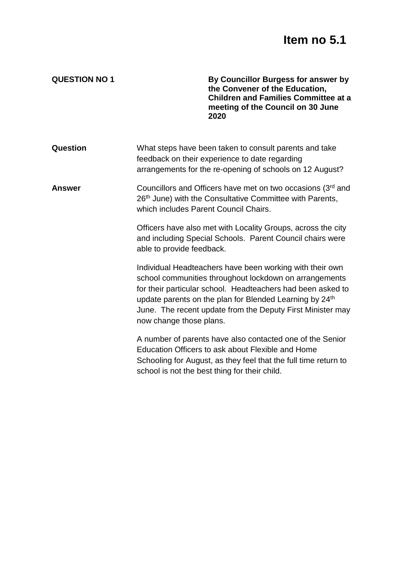**QUESTION NO 1 By Councillor Burgess for answer by the Convener of the Education, Children and Families Committee at a meeting of the Council on 30 June 2020**

| Question      | What steps have been taken to consult parents and take<br>feedback on their experience to date regarding<br>arrangements for the re-opening of schools on 12 August?                                                                                                                                                                              |
|---------------|---------------------------------------------------------------------------------------------------------------------------------------------------------------------------------------------------------------------------------------------------------------------------------------------------------------------------------------------------|
| <b>Answer</b> | Councillors and Officers have met on two occasions $(3rd$ and<br>26 <sup>th</sup> June) with the Consultative Committee with Parents,<br>which includes Parent Council Chairs.                                                                                                                                                                    |
|               | Officers have also met with Locality Groups, across the city<br>and including Special Schools. Parent Council chairs were<br>able to provide feedback.                                                                                                                                                                                            |
|               | Individual Headteachers have been working with their own<br>school communities throughout lockdown on arrangements<br>for their particular school. Headteachers had been asked to<br>update parents on the plan for Blended Learning by 24 <sup>th</sup><br>June. The recent update from the Deputy First Minister may<br>now change those plans. |
|               | A number of parents have also contacted one of the Senior<br>Education Officers to ask about Flexible and Home<br>Schooling for August, as they feel that the full time return to<br>school is not the best thing for their child.                                                                                                                |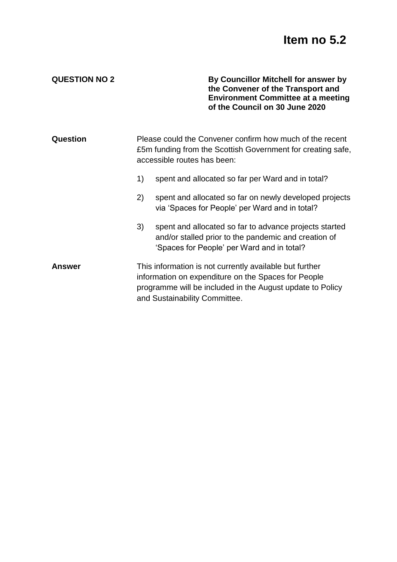| <b>QUESTION NO 2</b> |    | By Councillor Mitchell for answer by<br>the Convener of the Transport and<br><b>Environment Committee at a meeting</b><br>of the Council on 30 June 2020                                                     |
|----------------------|----|--------------------------------------------------------------------------------------------------------------------------------------------------------------------------------------------------------------|
| Question             |    | Please could the Convener confirm how much of the recent<br>£5m funding from the Scottish Government for creating safe,<br>accessible routes has been:                                                       |
|                      | 1) | spent and allocated so far per Ward and in total?                                                                                                                                                            |
|                      | 2) | spent and allocated so far on newly developed projects<br>via 'Spaces for People' per Ward and in total?                                                                                                     |
|                      | 3) | spent and allocated so far to advance projects started<br>and/or stalled prior to the pandemic and creation of<br>'Spaces for People' per Ward and in total?                                                 |
| Answer               |    | This information is not currently available but further<br>information on expenditure on the Spaces for People<br>programme will be included in the August update to Policy<br>and Sustainability Committee. |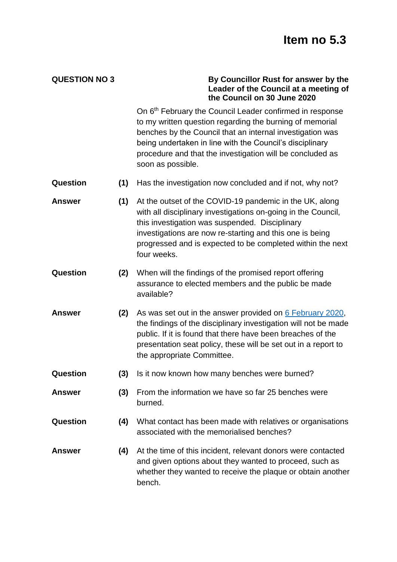| <b>QUESTION NO 3</b> |
|----------------------|
|----------------------|

# **QUESTION NO 3 By Councillor Rust for answer by the Leader of the Council at a meeting of the Council on 30 June 2020**

On 6<sup>th</sup> February the Council Leader confirmed in response to my written question regarding the burning of memorial benches by the Council that an internal investigation was being undertaken in line with the Council's disciplinary procedure and that the investigation will be concluded as soon as possible.

- **Question (1)** Has the investigation now concluded and if not, why not?
- **Answer (1)** At the outset of the COVID-19 pandemic in the UK, along with all disciplinary investigations on-going in the Council, this investigation was suspended. Disciplinary investigations are now re-starting and this one is being progressed and is expected to be completed within the next four weeks.
- **Question (2)** When will the findings of the promised report offering assurance to elected members and the public be made available?
- **Answer (2)** As was set out in the answer provided on 6 [February 2020,](https://democracy.edinburgh.gov.uk/documents/s13668/Item%205%20-%20Questions%20and%20Answers%20Modern%20Gov.pdf) the findings of the disciplinary investigation will not be made public. If it is found that there have been breaches of the presentation seat policy, these will be set out in a report to the appropriate Committee.
- **Question (3)** Is it now known how many benches were burned?
- **Answer (3)** From the information we have so far 25 benches were burned.
- **Question (4)** What contact has been made with relatives or organisations associated with the memorialised benches?
- **Answer (4)** At the time of this incident, relevant donors were contacted and given options about they wanted to proceed, such as whether they wanted to receive the plaque or obtain another bench.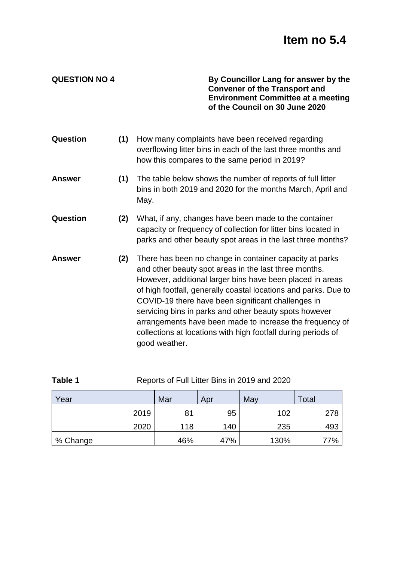**QUESTION NO 4 By Councillor Lang for answer by the Convener of the Transport and Environment Committee at a meeting of the Council on 30 June 2020**

| Question      | (1) | How many complaints have been received regarding<br>overflowing litter bins in each of the last three months and<br>how this compares to the same period in 2019?                                                                                                                                                                                                                                                                                                                                              |
|---------------|-----|----------------------------------------------------------------------------------------------------------------------------------------------------------------------------------------------------------------------------------------------------------------------------------------------------------------------------------------------------------------------------------------------------------------------------------------------------------------------------------------------------------------|
| <b>Answer</b> | (1) | The table below shows the number of reports of full litter<br>bins in both 2019 and 2020 for the months March, April and<br>May.                                                                                                                                                                                                                                                                                                                                                                               |
| Question      | (2) | What, if any, changes have been made to the container<br>capacity or frequency of collection for litter bins located in<br>parks and other beauty spot areas in the last three months?                                                                                                                                                                                                                                                                                                                         |
| <b>Answer</b> | (2) | There has been no change in container capacity at parks<br>and other beauty spot areas in the last three months.<br>However, additional larger bins have been placed in areas<br>of high footfall, generally coastal locations and parks. Due to<br>COVID-19 there have been significant challenges in<br>servicing bins in parks and other beauty spots however<br>arrangements have been made to increase the frequency of<br>collections at locations with high footfall during periods of<br>good weather. |

| Year     | Mar | Apr | May  | <b>Total</b> |
|----------|-----|-----|------|--------------|
| 2019     | 81  | 95  | 102  | 278          |
| 2020     | 118 | 140 | 235  | 493          |
| % Change | 46% | 47% | 130% | 77%          |

# Table 1 **Reports of Full Litter Bins in 2019 and 2020**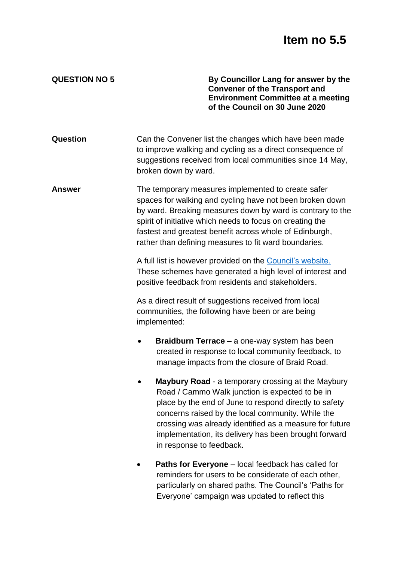|  | <b>QUESTION NO 5</b> |  |
|--|----------------------|--|
|  |                      |  |

**By Councillor Lang for answer by the Convener of the Transport and Environment Committee at a meeting of the Council on 30 June 2020**

**Question** Can the Convener list the changes which have been made to improve walking and cycling as a direct consequence of suggestions received from local communities since 14 May, broken down by ward.

**Answer** The temporary measures implemented to create safer spaces for walking and cycling have not been broken down by ward. Breaking measures down by ward is contrary to the spirit of initiative which needs to focus on creating the fastest and greatest benefit across whole of Edinburgh, rather than defining measures to fit ward boundaries.

> A full list is however provided on the [Council's website.](https://www.edinburgh.gov.uk/spaces-people-1/emergency-measures-pedestrians-cyclists-coronavirus) These schemes have generated a high level of interest and positive feedback from residents and stakeholders.

As a direct result of suggestions received from local communities, the following have been or are being implemented:

- **Braidburn Terrace** a one-way system has been created in response to local community feedback, to manage impacts from the closure of Braid Road.
- **Maybury Road** a temporary crossing at the Maybury Road / Cammo Walk junction is expected to be in place by the end of June to respond directly to safety concerns raised by the local community. While the crossing was already identified as a measure for future implementation, its delivery has been brought forward in response to feedback.
- **Paths for Everyone** local feedback has called for reminders for users to be considerate of each other, particularly on shared paths. The Council's 'Paths for Everyone' campaign was updated to reflect this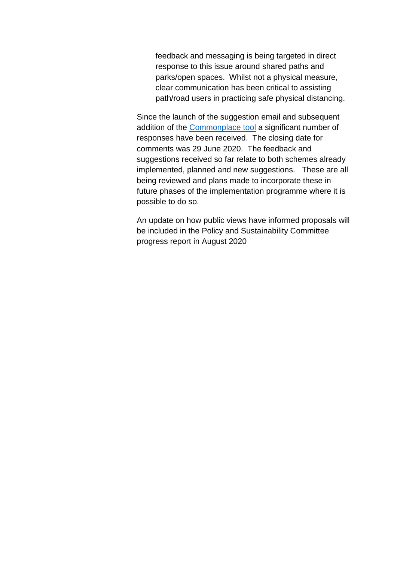feedback and messaging is being targeted in direct response to this issue around shared paths and parks/open spaces. Whilst not a physical measure, clear communication has been critical to assisting path/road users in practicing safe physical distancing.

Since the launch of the suggestion email and subsequent addition of the [Commonplace tool](https://edinburghspacesforpeople.commonplace.is/about) a significant number of responses have been received. The closing date for comments was 29 June 2020. The feedback and suggestions received so far relate to both schemes already implemented, planned and new suggestions. These are all being reviewed and plans made to incorporate these in future phases of the implementation programme where it is possible to do so.

An update on how public views have informed proposals will be included in the Policy and Sustainability Committee progress report in August 2020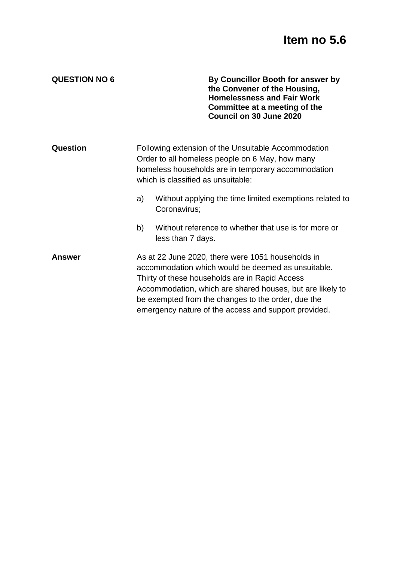| <b>QUESTION NO 6</b> | By Councillor Booth for answer by<br>the Convener of the Housing,<br><b>Homelessness and Fair Work</b><br>Committee at a meeting of the<br>Council on 30 June 2020                                                                                                                                                                   |  |  |  |  |
|----------------------|--------------------------------------------------------------------------------------------------------------------------------------------------------------------------------------------------------------------------------------------------------------------------------------------------------------------------------------|--|--|--|--|
| Question             | Following extension of the Unsuitable Accommodation<br>Order to all homeless people on 6 May, how many<br>homeless households are in temporary accommodation<br>which is classified as unsuitable:                                                                                                                                   |  |  |  |  |
|                      | Without applying the time limited exemptions related to<br>a)<br>Coronavirus;                                                                                                                                                                                                                                                        |  |  |  |  |
|                      | Without reference to whether that use is for more or<br>b)<br>less than 7 days.                                                                                                                                                                                                                                                      |  |  |  |  |
| Answer               | As at 22 June 2020, there were 1051 households in<br>accommodation which would be deemed as unsuitable.<br>Thirty of these households are in Rapid Access<br>Accommodation, which are shared houses, but are likely to<br>be exempted from the changes to the order, due the<br>emergency nature of the access and support provided. |  |  |  |  |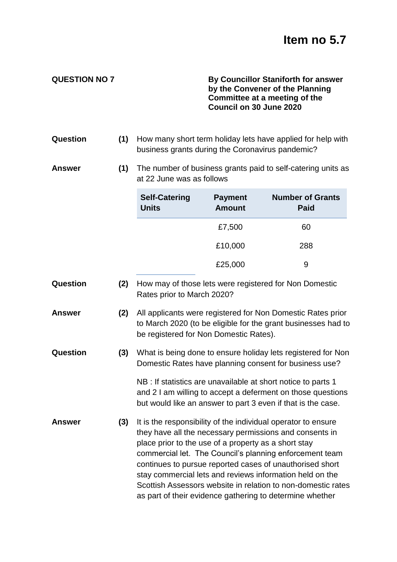# **QUESTION NO 7 By Councillor Staniforth for answer by the Convener of the Planning Committee at a meeting of the Council on 30 June 2020**

- **Question (1)** How many short term holiday lets have applied for help with business grants during the Coronavirus pandemic?
- **Answer (1)** The number of business grants paid to self-catering units as at 22 June was as follows

| <b>Self-Catering</b><br><b>Units</b> | <b>Payment</b><br><b>Amount</b> | <b>Number of Grants</b><br><b>Paid</b> |
|--------------------------------------|---------------------------------|----------------------------------------|
|                                      | £7,500                          | 60                                     |
|                                      | £10,000                         | 288                                    |
|                                      | £25,000                         | 9                                      |

- **Question (2)** How may of those lets were registered for Non Domestic Rates prior to March 2020?
- **Answer (2)** All applicants were registered for Non Domestic Rates prior to March 2020 (to be eligible for the grant businesses had to be registered for Non Domestic Rates).
- **Question (3)** What is being done to ensure holiday lets registered for Non Domestic Rates have planning consent for business use?

NB : If statistics are unavailable at short notice to parts 1 and 2 I am willing to accept a deferment on those questions but would like an answer to part 3 even if that is the case.

**Answer (3)** It is the responsibility of the individual operator to ensure they have all the necessary permissions and consents in place prior to the use of a property as a short stay commercial let. The Council's planning enforcement team continues to pursue reported cases of unauthorised short stay commercial lets and reviews information held on the Scottish Assessors website in relation to non-domestic rates as part of their evidence gathering to determine whether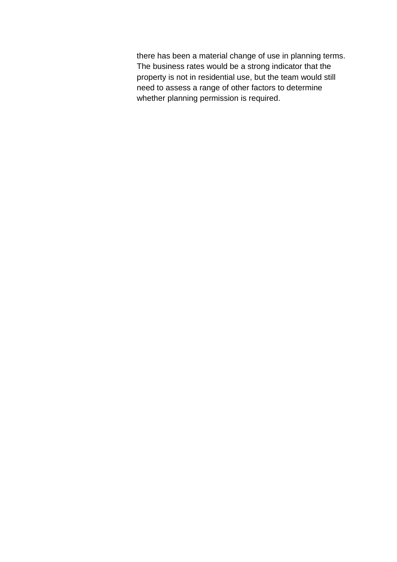there has been a material change of use in planning terms. The business rates would be a strong indicator that the property is not in residential use, but the team would still need to assess a range of other factors to determine whether planning permission is required.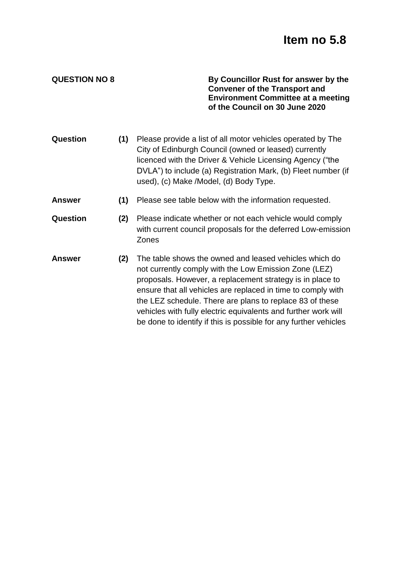**QUESTION NO 8 By Councillor Rust for answer by the Convener of the Transport and Environment Committee at a meeting of the Council on 30 June 2020**

| Question      | (1) | Please provide a list of all motor vehicles operated by The<br>City of Edinburgh Council (owned or leased) currently<br>licenced with the Driver & Vehicle Licensing Agency ("the<br>DVLA") to include (a) Registration Mark, (b) Fleet number (if<br>used), (c) Make /Model, (d) Body Type.                                                                                                                                                   |  |  |  |  |
|---------------|-----|------------------------------------------------------------------------------------------------------------------------------------------------------------------------------------------------------------------------------------------------------------------------------------------------------------------------------------------------------------------------------------------------------------------------------------------------|--|--|--|--|
| <b>Answer</b> | (1) | Please see table below with the information requested.                                                                                                                                                                                                                                                                                                                                                                                         |  |  |  |  |
| Question      | (2) | Please indicate whether or not each vehicle would comply<br>with current council proposals for the deferred Low-emission<br>Zones                                                                                                                                                                                                                                                                                                              |  |  |  |  |
| <b>Answer</b> | (2) | The table shows the owned and leased vehicles which do<br>not currently comply with the Low Emission Zone (LEZ)<br>proposals. However, a replacement strategy is in place to<br>ensure that all vehicles are replaced in time to comply with<br>the LEZ schedule. There are plans to replace 83 of these<br>vehicles with fully electric equivalents and further work will<br>be done to identify if this is possible for any further vehicles |  |  |  |  |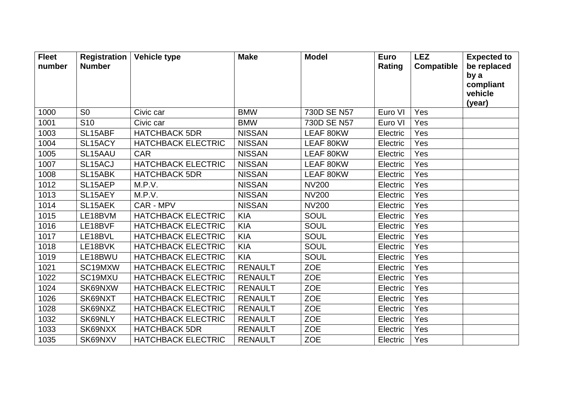| <b>Fleet</b><br>number | <b>Registration</b><br><b>Number</b> | <b>Vehicle type</b>       | <b>Make</b>    | <b>Model</b>     | <b>Euro</b><br>Rating | <b>LEZ</b><br><b>Compatible</b> | <b>Expected to</b><br>be replaced<br>by a |
|------------------------|--------------------------------------|---------------------------|----------------|------------------|-----------------------|---------------------------------|-------------------------------------------|
|                        |                                      |                           |                |                  |                       |                                 | compliant<br>vehicle<br>(year)            |
| 1000                   | S <sub>0</sub>                       | Civic car                 | <b>BMW</b>     | 730D SE N57      | Euro VI               | Yes                             |                                           |
| 1001                   | S <sub>10</sub>                      | Civic car                 | <b>BMW</b>     | 730D SE N57      | Euro VI               | Yes                             |                                           |
| 1003                   | SL15ABF                              | <b>HATCHBACK 5DR</b>      | <b>NISSAN</b>  | <b>LEAF 80KW</b> | Electric              | Yes                             |                                           |
| 1004                   | SL15ACY                              | <b>HATCHBACK ELECTRIC</b> | <b>NISSAN</b>  | <b>LEAF 80KW</b> | Electric              | Yes                             |                                           |
| 1005                   | SL15AAU                              | <b>CAR</b>                | <b>NISSAN</b>  | <b>LEAF 80KW</b> | Electric              | Yes                             |                                           |
| 1007                   | SL15ACJ                              | <b>HATCHBACK ELECTRIC</b> | <b>NISSAN</b>  | LEAF 80KW        | Electric              | Yes                             |                                           |
| 1008                   | SL15ABK                              | <b>HATCHBACK 5DR</b>      | <b>NISSAN</b>  | <b>LEAF 80KW</b> | Electric              | Yes                             |                                           |
| 1012                   | SL15AEP                              | M.P.V.                    | <b>NISSAN</b>  | <b>NV200</b>     | Electric              | Yes                             |                                           |
| 1013                   | SL15AEY                              | M.P.V.                    | <b>NISSAN</b>  | <b>NV200</b>     | Electric              | Yes                             |                                           |
| 1014                   | SL15AEK                              | CAR - MPV                 | <b>NISSAN</b>  | <b>NV200</b>     | Electric              | Yes                             |                                           |
| 1015                   | LE18BVM                              | <b>HATCHBACK ELECTRIC</b> | <b>KIA</b>     | SOUL             | Electric              | Yes                             |                                           |
| 1016                   | LE18BVF                              | <b>HATCHBACK ELECTRIC</b> | <b>KIA</b>     | <b>SOUL</b>      | Electric              | Yes                             |                                           |
| 1017                   | LE18BVL                              | <b>HATCHBACK ELECTRIC</b> | <b>KIA</b>     | <b>SOUL</b>      | Electric              | Yes                             |                                           |
| 1018                   | LE18BVK                              | <b>HATCHBACK ELECTRIC</b> | <b>KIA</b>     | SOUL             | Electric              | Yes                             |                                           |
| 1019                   | LE18BWU                              | <b>HATCHBACK ELECTRIC</b> | <b>KIA</b>     | <b>SOUL</b>      | Electric              | Yes                             |                                           |
| 1021                   | SC19MXW                              | <b>HATCHBACK ELECTRIC</b> | <b>RENAULT</b> | <b>ZOE</b>       | Electric              | Yes                             |                                           |
| 1022                   | SC19MXU                              | <b>HATCHBACK ELECTRIC</b> | <b>RENAULT</b> | <b>ZOE</b>       | Electric              | Yes                             |                                           |
| 1024                   | SK69NXW                              | <b>HATCHBACK ELECTRIC</b> | <b>RENAULT</b> | <b>ZOE</b>       | Electric              | Yes                             |                                           |
| 1026                   | SK69NXT                              | <b>HATCHBACK ELECTRIC</b> | <b>RENAULT</b> | <b>ZOE</b>       | Electric              | Yes                             |                                           |
| 1028                   | SK69NXZ                              | <b>HATCHBACK ELECTRIC</b> | <b>RENAULT</b> | <b>ZOE</b>       | Electric              | Yes                             |                                           |
| 1032                   | SK69NLY                              | <b>HATCHBACK ELECTRIC</b> | <b>RENAULT</b> | <b>ZOE</b>       | Electric              | Yes                             |                                           |
| 1033                   | SK69NXX                              | <b>HATCHBACK 5DR</b>      | <b>RENAULT</b> | <b>ZOE</b>       | Electric              | Yes                             |                                           |
| 1035                   | SK69NXV                              | <b>HATCHBACK ELECTRIC</b> | <b>RENAULT</b> | <b>ZOE</b>       | Electric              | Yes                             |                                           |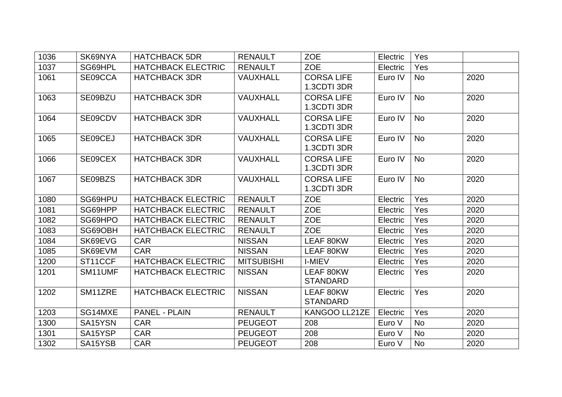| 1036 | SK69NYA | <b>HATCHBACK 5DR</b>      | <b>RENAULT</b>    | <b>ZOE</b>                          | Electric | <b>Yes</b> |      |
|------|---------|---------------------------|-------------------|-------------------------------------|----------|------------|------|
| 1037 | SG69HPL | <b>HATCHBACK ELECTRIC</b> | <b>RENAULT</b>    | <b>ZOE</b>                          | Electric | <b>Yes</b> |      |
| 1061 | SE09CCA | <b>HATCHBACK 3DR</b>      | <b>VAUXHALL</b>   | <b>CORSA LIFE</b><br>1.3CDTI 3DR    | Euro IV  | <b>No</b>  | 2020 |
| 1063 | SE09BZU | <b>HATCHBACK 3DR</b>      | VAUXHALL          | <b>CORSA LIFE</b><br>1.3CDTI 3DR    | Euro IV  | <b>No</b>  | 2020 |
| 1064 | SE09CDV | <b>HATCHBACK 3DR</b>      | VAUXHALL          | <b>CORSA LIFE</b><br>1.3CDTI 3DR    | Euro IV  | No         | 2020 |
| 1065 | SE09CEJ | <b>HATCHBACK 3DR</b>      | VAUXHALL          | <b>CORSA LIFE</b><br>1.3CDTI 3DR    | Euro IV  | <b>No</b>  | 2020 |
| 1066 | SE09CEX | <b>HATCHBACK 3DR</b>      | VAUXHALL          | <b>CORSA LIFE</b><br>1.3CDTI 3DR    | Euro IV  | <b>No</b>  | 2020 |
| 1067 | SE09BZS | <b>HATCHBACK 3DR</b>      | VAUXHALL          | <b>CORSA LIFE</b><br>1.3CDTI 3DR    | Euro IV  | <b>No</b>  | 2020 |
| 1080 | SG69HPU | <b>HATCHBACK ELECTRIC</b> | <b>RENAULT</b>    | <b>ZOE</b>                          | Electric | <b>Yes</b> | 2020 |
| 1081 | SG69HPP | <b>HATCHBACK ELECTRIC</b> | <b>RENAULT</b>    | <b>ZOE</b>                          | Electric | Yes        | 2020 |
| 1082 | SG69HPO | <b>HATCHBACK ELECTRIC</b> | <b>RENAULT</b>    | <b>ZOE</b>                          | Electric | Yes        | 2020 |
| 1083 | SG69OBH | <b>HATCHBACK ELECTRIC</b> | <b>RENAULT</b>    | <b>ZOE</b>                          | Electric | Yes        | 2020 |
| 1084 | SK69EVG | <b>CAR</b>                | <b>NISSAN</b>     | <b>LEAF 80KW</b>                    | Electric | Yes        | 2020 |
| 1085 | SK69EVM | <b>CAR</b>                | <b>NISSAN</b>     | <b>LEAF 80KW</b>                    | Electric | Yes        | 2020 |
| 1200 | ST11CCF | <b>HATCHBACK ELECTRIC</b> | <b>MITSUBISHI</b> | <b>I-MIEV</b>                       | Electric | Yes        | 2020 |
| 1201 | SM11UMF | <b>HATCHBACK ELECTRIC</b> | <b>NISSAN</b>     | <b>LEAF 80KW</b><br><b>STANDARD</b> | Electric | Yes        | 2020 |
| 1202 | SM11ZRE | <b>HATCHBACK ELECTRIC</b> | <b>NISSAN</b>     | <b>LEAF 80KW</b><br><b>STANDARD</b> | Electric | Yes        | 2020 |
| 1203 | SG14MXE | <b>PANEL - PLAIN</b>      | <b>RENAULT</b>    | KANGOO LL21ZE                       | Electric | Yes        | 2020 |
| 1300 | SA15YSN | <b>CAR</b>                | <b>PEUGEOT</b>    | 208                                 | Euro V   | <b>No</b>  | 2020 |
| 1301 | SA15YSP | <b>CAR</b>                | <b>PEUGEOT</b>    | 208                                 | Euro V   | <b>No</b>  | 2020 |
| 1302 | SA15YSB | <b>CAR</b>                | <b>PEUGEOT</b>    | 208                                 | Euro V   | <b>No</b>  | 2020 |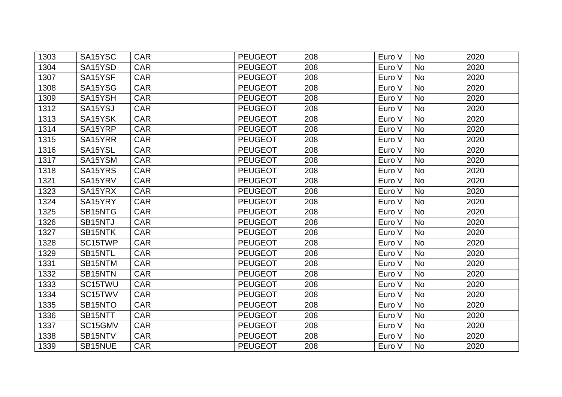| 1303 | SA15YSC              | <b>CAR</b> | <b>PEUGEOT</b> | 208 | Euro V | <b>No</b> | 2020 |
|------|----------------------|------------|----------------|-----|--------|-----------|------|
| 1304 | SA15YSD              | <b>CAR</b> | <b>PEUGEOT</b> | 208 | Euro V | <b>No</b> | 2020 |
| 1307 | SA15YSF              | <b>CAR</b> | <b>PEUGEOT</b> | 208 | Euro V | <b>No</b> | 2020 |
| 1308 | SA15YSG              | <b>CAR</b> | <b>PEUGEOT</b> | 208 | Euro V | <b>No</b> | 2020 |
| 1309 | SA15YSH              | <b>CAR</b> | <b>PEUGEOT</b> | 208 | Euro V | <b>No</b> | 2020 |
| 1312 | SA <sub>15</sub> YSJ | <b>CAR</b> | <b>PEUGEOT</b> | 208 | Euro V | No        | 2020 |
| 1313 | SA15YSK              | <b>CAR</b> | <b>PEUGEOT</b> | 208 | Euro V | <b>No</b> | 2020 |
| 1314 | SA15YRP              | <b>CAR</b> | <b>PEUGEOT</b> | 208 | Euro V | <b>No</b> | 2020 |
| 1315 | SA15YRR              | <b>CAR</b> | <b>PEUGEOT</b> | 208 | Euro V | <b>No</b> | 2020 |
| 1316 | SA15YSL              | <b>CAR</b> | <b>PEUGEOT</b> | 208 | Euro V | <b>No</b> | 2020 |
| 1317 | SA15YSM              | <b>CAR</b> | <b>PEUGEOT</b> | 208 | Euro V | <b>No</b> | 2020 |
| 1318 | SA15YRS              | <b>CAR</b> | <b>PEUGEOT</b> | 208 | Euro V | <b>No</b> | 2020 |
| 1321 | SA15YRV              | <b>CAR</b> | <b>PEUGEOT</b> | 208 | Euro V | <b>No</b> | 2020 |
| 1323 | SA15YRX              | <b>CAR</b> | <b>PEUGEOT</b> | 208 | Euro V | <b>No</b> | 2020 |
| 1324 | SA15YRY              | <b>CAR</b> | <b>PEUGEOT</b> | 208 | Euro V | <b>No</b> | 2020 |
| 1325 | SB15NTG              | <b>CAR</b> | <b>PEUGEOT</b> | 208 | Euro V | <b>No</b> | 2020 |
| 1326 | SB15NTJ              | <b>CAR</b> | <b>PEUGEOT</b> | 208 | Euro V | <b>No</b> | 2020 |
| 1327 | SB15NTK              | <b>CAR</b> | <b>PEUGEOT</b> | 208 | Euro V | <b>No</b> | 2020 |
| 1328 | SC15TWP              | <b>CAR</b> | <b>PEUGEOT</b> | 208 | Euro V | <b>No</b> | 2020 |
| 1329 | SB15NTL              | <b>CAR</b> | <b>PEUGEOT</b> | 208 | Euro V | <b>No</b> | 2020 |
| 1331 | SB15NTM              | <b>CAR</b> | <b>PEUGEOT</b> | 208 | Euro V | <b>No</b> | 2020 |
| 1332 | SB15NTN              | <b>CAR</b> | <b>PEUGEOT</b> | 208 | Euro V | <b>No</b> | 2020 |
| 1333 | SC15TWU              | <b>CAR</b> | <b>PEUGEOT</b> | 208 | Euro V | <b>No</b> | 2020 |
| 1334 | SC15TWV              | <b>CAR</b> | <b>PEUGEOT</b> | 208 | Euro V | <b>No</b> | 2020 |
| 1335 | SB15NTO              | <b>CAR</b> | <b>PEUGEOT</b> | 208 | Euro V | <b>No</b> | 2020 |
| 1336 | SB15NTT              | <b>CAR</b> | <b>PEUGEOT</b> | 208 | Euro V | <b>No</b> | 2020 |
| 1337 | SC15GMV              | <b>CAR</b> | <b>PEUGEOT</b> | 208 | Euro V | <b>No</b> | 2020 |
| 1338 | SB15NTV              | <b>CAR</b> | <b>PEUGEOT</b> | 208 | Euro V | <b>No</b> | 2020 |
| 1339 | SB15NUE              | <b>CAR</b> | <b>PEUGEOT</b> | 208 | Euro V | <b>No</b> | 2020 |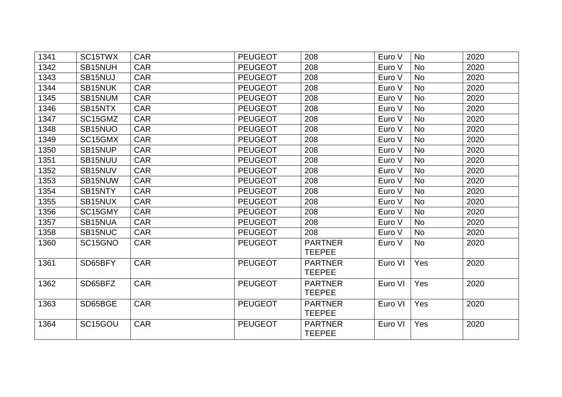| 1341 | SC15TWX | <b>CAR</b> | <b>PEUGEOT</b> | 208                             | Euro V  | <b>No</b> | 2020 |
|------|---------|------------|----------------|---------------------------------|---------|-----------|------|
| 1342 | SB15NUH | <b>CAR</b> | <b>PEUGEOT</b> | 208                             | Euro V  | <b>No</b> | 2020 |
| 1343 | SB15NUJ | <b>CAR</b> | <b>PEUGEOT</b> | 208                             | Euro V  | <b>No</b> | 2020 |
| 1344 | SB15NUK | <b>CAR</b> | <b>PEUGEOT</b> | 208                             | Euro V  | <b>No</b> | 2020 |
| 1345 | SB15NUM | <b>CAR</b> | <b>PEUGEOT</b> | 208                             | Euro V  | <b>No</b> | 2020 |
| 1346 | SB15NTX | <b>CAR</b> | <b>PEUGEOT</b> | 208                             | Euro V  | <b>No</b> | 2020 |
| 1347 | SC15GMZ | <b>CAR</b> | <b>PEUGEOT</b> | 208                             | Euro V  | <b>No</b> | 2020 |
| 1348 | SB15NUO | <b>CAR</b> | <b>PEUGEOT</b> | 208                             | Euro V  | No        | 2020 |
| 1349 | SC15GMX | <b>CAR</b> | <b>PEUGEOT</b> | 208                             | Euro V  | <b>No</b> | 2020 |
| 1350 | SB15NUP | <b>CAR</b> | <b>PEUGEOT</b> | 208                             | Euro V  | <b>No</b> | 2020 |
| 1351 | SB15NUU | <b>CAR</b> | <b>PEUGEOT</b> | 208                             | Euro V  | No        | 2020 |
| 1352 | SB15NUV | <b>CAR</b> | <b>PEUGEOT</b> | 208                             | Euro V  | <b>No</b> | 2020 |
| 1353 | SB15NUW | <b>CAR</b> | <b>PEUGEOT</b> | 208                             | Euro V  | <b>No</b> | 2020 |
| 1354 | SB15NTY | <b>CAR</b> | <b>PEUGEOT</b> | 208                             | Euro V  | <b>No</b> | 2020 |
| 1355 | SB15NUX | <b>CAR</b> | <b>PEUGEOT</b> | 208                             | Euro V  | <b>No</b> | 2020 |
| 1356 | SC15GMY | <b>CAR</b> | <b>PEUGEOT</b> | 208                             | Euro V  | <b>No</b> | 2020 |
| 1357 | SB15NUA | <b>CAR</b> | <b>PEUGEOT</b> | 208                             | Euro V  | <b>No</b> | 2020 |
| 1358 | SB15NUC | <b>CAR</b> | <b>PEUGEOT</b> | 208                             | Euro V  | <b>No</b> | 2020 |
| 1360 | SC15GNO | <b>CAR</b> | <b>PEUGEOT</b> | <b>PARTNER</b><br><b>TEEPEE</b> | Euro V  | <b>No</b> | 2020 |
| 1361 | SD65BFY | <b>CAR</b> | <b>PEUGEOT</b> | <b>PARTNER</b><br><b>TEEPEE</b> | Euro VI | Yes       | 2020 |
| 1362 | SD65BFZ | <b>CAR</b> | <b>PEUGEOT</b> | <b>PARTNER</b><br><b>TEEPEE</b> | Euro VI | Yes       | 2020 |
| 1363 | SD65BGE | <b>CAR</b> | <b>PEUGEOT</b> | <b>PARTNER</b><br><b>TEEPEE</b> | Euro VI | Yes       | 2020 |
| 1364 | SC15GOU | <b>CAR</b> | <b>PEUGEOT</b> | <b>PARTNER</b><br><b>TEEPEE</b> | Euro VI | Yes       | 2020 |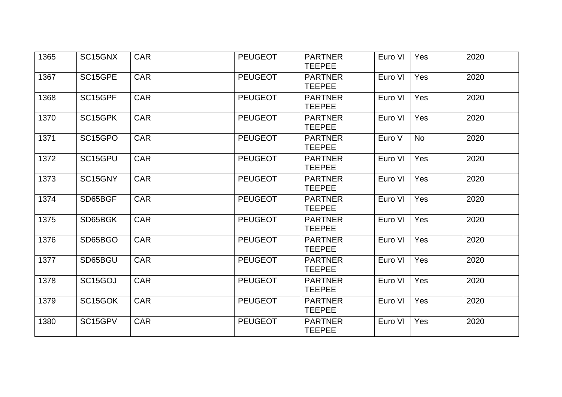| 1365 | SC15GNX              | <b>CAR</b> | <b>PEUGEOT</b> | <b>PARTNER</b><br><b>TEEPEE</b> | Euro VI | Yes       | 2020 |
|------|----------------------|------------|----------------|---------------------------------|---------|-----------|------|
| 1367 | SC15GPE              | <b>CAR</b> | <b>PEUGEOT</b> | <b>PARTNER</b><br><b>TEEPEE</b> | Euro VI | Yes       | 2020 |
| 1368 | SC15GPF              | <b>CAR</b> | <b>PEUGEOT</b> | <b>PARTNER</b><br><b>TEEPEE</b> | Euro VI | Yes       | 2020 |
| 1370 | SC15GPK              | <b>CAR</b> | <b>PEUGEOT</b> | <b>PARTNER</b><br><b>TEEPEE</b> | Euro VI | Yes       | 2020 |
| 1371 | SC <sub>15</sub> GPO | <b>CAR</b> | <b>PEUGEOT</b> | <b>PARTNER</b><br><b>TEEPEE</b> | Euro V  | <b>No</b> | 2020 |
| 1372 | SC15GPU              | <b>CAR</b> | <b>PEUGEOT</b> | <b>PARTNER</b><br><b>TEEPEE</b> | Euro VI | Yes       | 2020 |
| 1373 | SC15GNY              | <b>CAR</b> | <b>PEUGEOT</b> | <b>PARTNER</b><br><b>TEEPEE</b> | Euro VI | Yes       | 2020 |
| 1374 | SD65BGF              | <b>CAR</b> | <b>PEUGEOT</b> | <b>PARTNER</b><br><b>TEEPEE</b> | Euro VI | Yes       | 2020 |
| 1375 | SD65BGK              | <b>CAR</b> | <b>PEUGEOT</b> | <b>PARTNER</b><br><b>TEEPEE</b> | Euro VI | Yes       | 2020 |
| 1376 | SD65BGO              | <b>CAR</b> | <b>PEUGEOT</b> | <b>PARTNER</b><br><b>TEEPEE</b> | Euro VI | Yes       | 2020 |
| 1377 | SD65BGU              | <b>CAR</b> | <b>PEUGEOT</b> | <b>PARTNER</b><br><b>TEEPEE</b> | Euro VI | Yes       | 2020 |
| 1378 | SC <sub>15</sub> GOJ | <b>CAR</b> | <b>PEUGEOT</b> | <b>PARTNER</b><br><b>TEEPEE</b> | Euro VI | Yes       | 2020 |
| 1379 | SC15GOK              | <b>CAR</b> | <b>PEUGEOT</b> | <b>PARTNER</b><br><b>TEEPEE</b> | Euro VI | Yes       | 2020 |
| 1380 | SC15GPV              | <b>CAR</b> | <b>PEUGEOT</b> | <b>PARTNER</b><br><b>TEEPEE</b> | Euro VI | Yes       | 2020 |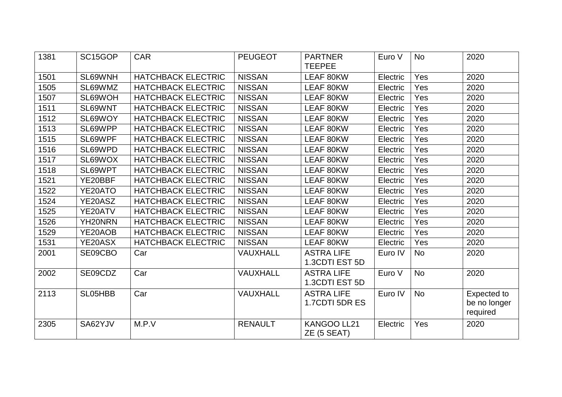| 1381 | SC15GOP | <b>CAR</b>                | <b>PEUGEOT</b>  | <b>PARTNER</b><br><b>TEEPEE</b>     | Euro V   | <b>No</b> | 2020                                    |
|------|---------|---------------------------|-----------------|-------------------------------------|----------|-----------|-----------------------------------------|
| 1501 | SL69WNH | <b>HATCHBACK ELECTRIC</b> | <b>NISSAN</b>   | LEAF 80KW                           | Electric | Yes       | 2020                                    |
| 1505 | SL69WMZ | <b>HATCHBACK ELECTRIC</b> | <b>NISSAN</b>   | LEAF 80KW                           | Electric | Yes       | 2020                                    |
| 1507 | SL69WOH | <b>HATCHBACK ELECTRIC</b> | <b>NISSAN</b>   | LEAF 80KW                           | Electric | Yes       | 2020                                    |
| 1511 | SL69WNT | <b>HATCHBACK ELECTRIC</b> | <b>NISSAN</b>   | LEAF 80KW                           | Electric | Yes       | 2020                                    |
| 1512 | SL69WOY | <b>HATCHBACK ELECTRIC</b> | <b>NISSAN</b>   | LEAF 80KW                           | Electric | Yes       | 2020                                    |
| 1513 | SL69WPP | <b>HATCHBACK ELECTRIC</b> | <b>NISSAN</b>   | LEAF 80KW                           | Electric | Yes       | 2020                                    |
| 1515 | SL69WPF | <b>HATCHBACK ELECTRIC</b> | <b>NISSAN</b>   | LEAF 80KW                           | Electric | Yes       | 2020                                    |
| 1516 | SL69WPD | <b>HATCHBACK ELECTRIC</b> | <b>NISSAN</b>   | LEAF 80KW                           | Electric | Yes       | 2020                                    |
| 1517 | SL69WOX | <b>HATCHBACK ELECTRIC</b> | <b>NISSAN</b>   | <b>LEAF 80KW</b>                    | Electric | Yes       | 2020                                    |
| 1518 | SL69WPT | <b>HATCHBACK ELECTRIC</b> | <b>NISSAN</b>   | LEAF 80KW                           | Electric | Yes       | 2020                                    |
| 1521 | YE20BBF | <b>HATCHBACK ELECTRIC</b> | <b>NISSAN</b>   | LEAF 80KW                           | Electric | Yes       | 2020                                    |
| 1522 | YE20ATO | <b>HATCHBACK ELECTRIC</b> | <b>NISSAN</b>   | LEAF 80KW                           | Electric | Yes       | 2020                                    |
| 1524 | YE20ASZ | <b>HATCHBACK ELECTRIC</b> | <b>NISSAN</b>   | LEAF 80KW                           | Electric | Yes       | 2020                                    |
| 1525 | YE20ATV | <b>HATCHBACK ELECTRIC</b> | <b>NISSAN</b>   | LEAF 80KW                           | Electric | Yes       | 2020                                    |
| 1526 | YH20NRN | <b>HATCHBACK ELECTRIC</b> | <b>NISSAN</b>   | LEAF 80KW                           | Electric | Yes       | 2020                                    |
| 1529 | YE20AOB | <b>HATCHBACK ELECTRIC</b> | <b>NISSAN</b>   | LEAF 80KW                           | Electric | Yes       | 2020                                    |
| 1531 | YE20ASX | <b>HATCHBACK ELECTRIC</b> | <b>NISSAN</b>   | LEAF 80KW                           | Electric | Yes       | 2020                                    |
| 2001 | SE09CBO | Car                       | <b>VAUXHALL</b> | <b>ASTRA LIFE</b><br>1.3CDTI EST 5D | Euro IV  | <b>No</b> | 2020                                    |
| 2002 | SE09CDZ | Car                       | VAUXHALL        | <b>ASTRA LIFE</b><br>1.3CDTI EST 5D | Euro V   | <b>No</b> | 2020                                    |
| 2113 | SL05HBB | Car                       | VAUXHALL        | <b>ASTRA LIFE</b><br>1.7CDTI 5DR ES | Euro IV  | <b>No</b> | Expected to<br>be no longer<br>required |
| 2305 | SA62YJV | M.P.V                     | <b>RENAULT</b>  | KANGOO LL21<br>ZE (5 SEAT)          | Electric | Yes       | 2020                                    |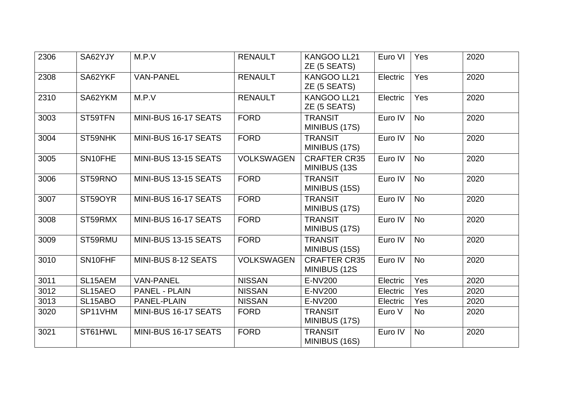| 2306 | SA62YJY              | M.P.V                | <b>RENAULT</b>    | KANGOO LL21<br>ZE (5 SEATS)          | Euro VI  | Yes        | 2020 |
|------|----------------------|----------------------|-------------------|--------------------------------------|----------|------------|------|
| 2308 | SA62YKF              | <b>VAN-PANEL</b>     | <b>RENAULT</b>    | KANGOO LL21<br>ZE (5 SEATS)          | Electric | <b>Yes</b> | 2020 |
| 2310 | SA62YKM              | M.P.V                | <b>RENAULT</b>    | KANGOO LL21<br>ZE (5 SEATS)          | Electric | Yes        | 2020 |
| 3003 | ST59TFN              | MINI-BUS 16-17 SEATS | <b>FORD</b>       | <b>TRANSIT</b><br>MINIBUS (17S)      | Euro IV  | <b>No</b>  | 2020 |
| 3004 | ST59NHK              | MINI-BUS 16-17 SEATS | <b>FORD</b>       | <b>TRANSIT</b><br>MINIBUS (17S)      | Euro IV  | <b>No</b>  | 2020 |
| 3005 | SN10FHE              | MINI-BUS 13-15 SEATS | <b>VOLKSWAGEN</b> | <b>CRAFTER CR35</b><br>MINIBUS (13S) | Euro IV  | <b>No</b>  | 2020 |
| 3006 | ST59RNO              | MINI-BUS 13-15 SEATS | <b>FORD</b>       | <b>TRANSIT</b><br>MINIBUS (15S)      | Euro IV  | <b>No</b>  | 2020 |
| 3007 | ST59OYR              | MINI-BUS 16-17 SEATS | <b>FORD</b>       | <b>TRANSIT</b><br>MINIBUS (17S)      | Euro IV  | <b>No</b>  | 2020 |
| 3008 | ST59RMX              | MINI-BUS 16-17 SEATS | <b>FORD</b>       | <b>TRANSIT</b><br>MINIBUS (17S)      | Euro IV  | <b>No</b>  | 2020 |
| 3009 | ST59RMU              | MINI-BUS 13-15 SEATS | <b>FORD</b>       | <b>TRANSIT</b><br>MINIBUS (15S)      | Euro IV  | <b>No</b>  | 2020 |
| 3010 | SN10FHF              | MINI-BUS 8-12 SEATS  | <b>VOLKSWAGEN</b> | <b>CRAFTER CR35</b><br>MINIBUS (12S) | Euro IV  | <b>No</b>  | 2020 |
| 3011 | SL15AEM              | <b>VAN-PANEL</b>     | <b>NISSAN</b>     | E-NV200                              | Electric | Yes        | 2020 |
| 3012 | SL <sub>15</sub> AEO | <b>PANEL - PLAIN</b> | <b>NISSAN</b>     | E-NV200                              | Electric | Yes        | 2020 |
| 3013 | SL <sub>15</sub> ABO | <b>PANEL-PLAIN</b>   | <b>NISSAN</b>     | E-NV200                              | Electric | Yes        | 2020 |
| 3020 | SP11VHM              | MINI-BUS 16-17 SEATS | <b>FORD</b>       | <b>TRANSIT</b><br>MINIBUS (17S)      | Euro V   | <b>No</b>  | 2020 |
| 3021 | ST61HWL              | MINI-BUS 16-17 SEATS | <b>FORD</b>       | <b>TRANSIT</b><br>MINIBUS (16S)      | Euro IV  | <b>No</b>  | 2020 |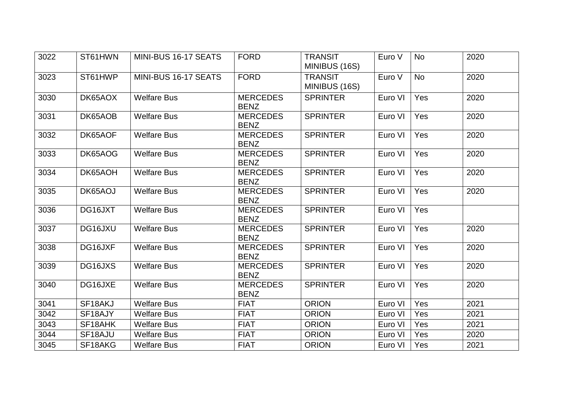| 3022 | ST61HWN | MINI-BUS 16-17 SEATS | <b>FORD</b>                    | <b>TRANSIT</b><br>MINIBUS (16S) | Euro V  | <b>No</b> | 2020 |
|------|---------|----------------------|--------------------------------|---------------------------------|---------|-----------|------|
| 3023 | ST61HWP | MINI-BUS 16-17 SEATS | <b>FORD</b>                    | <b>TRANSIT</b><br>MINIBUS (16S) | Euro V  | <b>No</b> | 2020 |
| 3030 | DK65AOX | <b>Welfare Bus</b>   | <b>MERCEDES</b><br><b>BENZ</b> | <b>SPRINTER</b>                 | Euro VI | Yes       | 2020 |
| 3031 | DK65AOB | <b>Welfare Bus</b>   | <b>MERCEDES</b><br><b>BENZ</b> | <b>SPRINTER</b>                 | Euro VI | Yes       | 2020 |
| 3032 | DK65AOF | <b>Welfare Bus</b>   | <b>MERCEDES</b><br><b>BENZ</b> | <b>SPRINTER</b>                 | Euro VI | Yes       | 2020 |
| 3033 | DK65AOG | <b>Welfare Bus</b>   | <b>MERCEDES</b><br><b>BENZ</b> | <b>SPRINTER</b>                 | Euro VI | Yes       | 2020 |
| 3034 | DK65AOH | <b>Welfare Bus</b>   | <b>MERCEDES</b><br><b>BENZ</b> | <b>SPRINTER</b>                 | Euro VI | Yes       | 2020 |
| 3035 | DK65AOJ | <b>Welfare Bus</b>   | <b>MERCEDES</b><br><b>BENZ</b> | <b>SPRINTER</b>                 | Euro VI | Yes       | 2020 |
| 3036 | DG16JXT | <b>Welfare Bus</b>   | <b>MERCEDES</b><br><b>BENZ</b> | <b>SPRINTER</b>                 | Euro VI | Yes       |      |
| 3037 | DG16JXU | <b>Welfare Bus</b>   | <b>MERCEDES</b><br><b>BENZ</b> | <b>SPRINTER</b>                 | Euro VI | Yes       | 2020 |
| 3038 | DG16JXF | <b>Welfare Bus</b>   | <b>MERCEDES</b><br><b>BENZ</b> | <b>SPRINTER</b>                 | Euro VI | Yes       | 2020 |
| 3039 | DG16JXS | <b>Welfare Bus</b>   | <b>MERCEDES</b><br><b>BENZ</b> | <b>SPRINTER</b>                 | Euro VI | Yes       | 2020 |
| 3040 | DG16JXE | <b>Welfare Bus</b>   | <b>MERCEDES</b><br><b>BENZ</b> | <b>SPRINTER</b>                 | Euro VI | Yes       | 2020 |
| 3041 | SF18AKJ | <b>Welfare Bus</b>   | <b>FIAT</b>                    | <b>ORION</b>                    | Euro VI | Yes       | 2021 |
| 3042 | SF18AJY | <b>Welfare Bus</b>   | <b>FIAT</b>                    | <b>ORION</b>                    | Euro VI | Yes       | 2021 |
| 3043 | SF18AHK | <b>Welfare Bus</b>   | <b>FIAT</b>                    | <b>ORION</b>                    | Euro VI | Yes       | 2021 |
| 3044 | SF18AJU | <b>Welfare Bus</b>   | <b>FIAT</b>                    | <b>ORION</b>                    | Euro VI | Yes       | 2020 |
| 3045 | SF18AKG | <b>Welfare Bus</b>   | <b>FIAT</b>                    | <b>ORION</b>                    | Euro VI | Yes       | 2021 |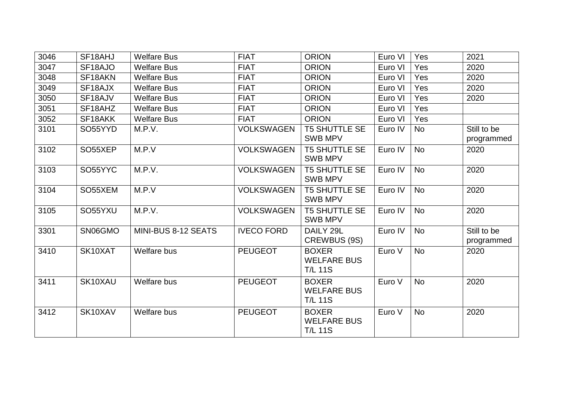| 3046 | SF <sub>18</sub> AHJ | <b>Welfare Bus</b>  | <b>FIAT</b>       | <b>ORION</b>                                         | Euro VI | Yes        | 2021                      |
|------|----------------------|---------------------|-------------------|------------------------------------------------------|---------|------------|---------------------------|
| 3047 | SF18AJO              | <b>Welfare Bus</b>  | <b>FIAT</b>       | <b>ORION</b>                                         | Euro VI | Yes        | 2020                      |
| 3048 | SF18AKN              | <b>Welfare Bus</b>  | <b>FIAT</b>       | <b>ORION</b>                                         | Euro VI | <b>Yes</b> | 2020                      |
| 3049 | SF <sub>18</sub> AJX | <b>Welfare Bus</b>  | <b>FIAT</b>       | <b>ORION</b>                                         | Euro VI | Yes        | 2020                      |
| 3050 | SF <sub>18</sub> AJV | <b>Welfare Bus</b>  | <b>FIAT</b>       | <b>ORION</b>                                         | Euro VI | Yes        | 2020                      |
| 3051 | SF <sub>18</sub> AHZ | <b>Welfare Bus</b>  | <b>FIAT</b>       | <b>ORION</b>                                         | Euro VI | Yes        |                           |
| 3052 | SF18AKK              | <b>Welfare Bus</b>  | <b>FIAT</b>       | <b>ORION</b>                                         | Euro VI | Yes        |                           |
| 3101 | SO55YYD              | M.P.V.              | <b>VOLKSWAGEN</b> | <b>T5 SHUTTLE SE</b><br><b>SWB MPV</b>               | Euro IV | <b>No</b>  | Still to be<br>programmed |
| 3102 | SO55XEP              | M.P.V               | <b>VOLKSWAGEN</b> | <b>T5 SHUTTLE SE</b><br><b>SWB MPV</b>               | Euro IV | <b>No</b>  | 2020                      |
| 3103 | SO55YYC              | M.P.V.              | <b>VOLKSWAGEN</b> | <b>T5 SHUTTLE SE</b><br><b>SWB MPV</b>               | Euro IV | <b>No</b>  | 2020                      |
| 3104 | SO55XEM              | M.P.V               | <b>VOLKSWAGEN</b> | <b>T5 SHUTTLE SE</b><br><b>SWB MPV</b>               | Euro IV | <b>No</b>  | 2020                      |
| 3105 | SO55YXU              | M.P.V.              | <b>VOLKSWAGEN</b> | <b>T5 SHUTTLE SE</b><br><b>SWB MPV</b>               | Euro IV | <b>No</b>  | 2020                      |
| 3301 | SN06GMO              | MINI-BUS 8-12 SEATS | <b>IVECO FORD</b> | DAILY 29L<br>CREWBUS (9S)                            | Euro IV | <b>No</b>  | Still to be<br>programmed |
| 3410 | SK10XAT              | Welfare bus         | <b>PEUGEOT</b>    | <b>BOXER</b><br><b>WELFARE BUS</b><br><b>T/L 11S</b> | Euro V  | <b>No</b>  | 2020                      |
| 3411 | SK10XAU              | <b>Welfare bus</b>  | <b>PEUGEOT</b>    | <b>BOXER</b><br><b>WELFARE BUS</b><br><b>T/L 11S</b> | Euro V  | <b>No</b>  | 2020                      |
| 3412 | SK10XAV              | <b>Welfare bus</b>  | <b>PEUGEOT</b>    | <b>BOXER</b><br><b>WELFARE BUS</b><br><b>T/L 11S</b> | Euro V  | <b>No</b>  | 2020                      |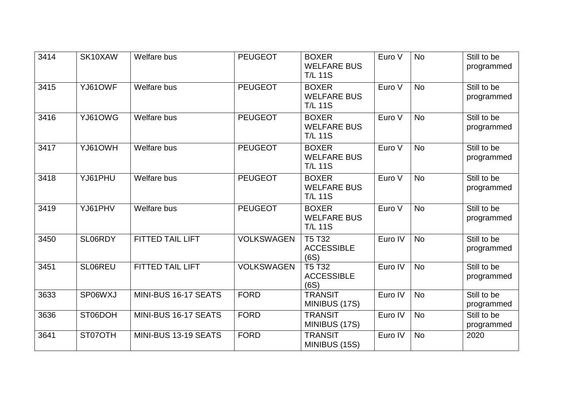| 3414 | SK10XAW | Welfare bus             | <b>PEUGEOT</b>    | <b>BOXER</b><br><b>WELFARE BUS</b><br><b>T/L 11S</b> | Euro V  | <b>No</b> | Still to be<br>programmed |
|------|---------|-------------------------|-------------------|------------------------------------------------------|---------|-----------|---------------------------|
| 3415 | YJ61OWF | Welfare bus             | <b>PEUGEOT</b>    | <b>BOXER</b><br><b>WELFARE BUS</b><br><b>T/L 11S</b> | Euro V  | <b>No</b> | Still to be<br>programmed |
| 3416 | YJ61OWG | Welfare bus             | <b>PEUGEOT</b>    | <b>BOXER</b><br><b>WELFARE BUS</b><br><b>T/L 11S</b> | Euro V  | <b>No</b> | Still to be<br>programmed |
| 3417 | YJ61OWH | Welfare bus             | <b>PEUGEOT</b>    | <b>BOXER</b><br><b>WELFARE BUS</b><br><b>T/L 11S</b> | Euro V  | <b>No</b> | Still to be<br>programmed |
| 3418 | YJ61PHU | Welfare bus             | <b>PEUGEOT</b>    | <b>BOXER</b><br><b>WELFARE BUS</b><br><b>T/L 11S</b> | Euro V  | <b>No</b> | Still to be<br>programmed |
| 3419 | YJ61PHV | Welfare bus             | <b>PEUGEOT</b>    | <b>BOXER</b><br><b>WELFARE BUS</b><br><b>T/L 11S</b> | Euro V  | <b>No</b> | Still to be<br>programmed |
| 3450 | SL06RDY | <b>FITTED TAIL LIFT</b> | <b>VOLKSWAGEN</b> | <b>T5 T32</b><br><b>ACCESSIBLE</b><br>(6S)           | Euro IV | <b>No</b> | Still to be<br>programmed |
| 3451 | SL06REU | <b>FITTED TAIL LIFT</b> | <b>VOLKSWAGEN</b> | T5 T32<br><b>ACCESSIBLE</b><br>(6S)                  | Euro IV | <b>No</b> | Still to be<br>programmed |
| 3633 | SP06WXJ | MINI-BUS 16-17 SEATS    | <b>FORD</b>       | <b>TRANSIT</b><br>MINIBUS (17S)                      | Euro IV | <b>No</b> | Still to be<br>programmed |
| 3636 | ST06DOH | MINI-BUS 16-17 SEATS    | <b>FORD</b>       | <b>TRANSIT</b><br>MINIBUS (17S)                      | Euro IV | <b>No</b> | Still to be<br>programmed |
| 3641 | ST07OTH | MINI-BUS 13-19 SEATS    | <b>FORD</b>       | <b>TRANSIT</b><br>MINIBUS (15S)                      | Euro IV | <b>No</b> | 2020                      |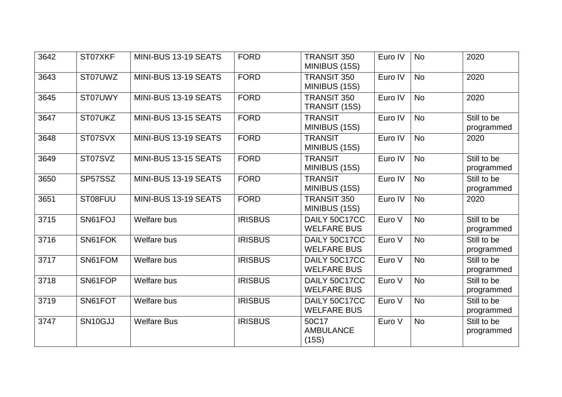| 3642 | ST07XKF             | MINI-BUS 13-19 SEATS | <b>FORD</b>    | TRANSIT 350<br>MINIBUS (15S)        | Euro IV | <b>No</b> | 2020                      |
|------|---------------------|----------------------|----------------|-------------------------------------|---------|-----------|---------------------------|
| 3643 | ST07UWZ             | MINI-BUS 13-19 SEATS | <b>FORD</b>    | <b>TRANSIT 350</b><br>MINIBUS (15S) | Euro IV | <b>No</b> | 2020                      |
| 3645 | ST07UWY             | MINI-BUS 13-19 SEATS | <b>FORD</b>    | <b>TRANSIT 350</b><br>TRANSIT (15S) | Euro IV | <b>No</b> | 2020                      |
| 3647 | ST07UKZ             | MINI-BUS 13-15 SEATS | <b>FORD</b>    | <b>TRANSIT</b><br>MINIBUS (15S)     | Euro IV | <b>No</b> | Still to be<br>programmed |
| 3648 | ST07SVX             | MINI-BUS 13-19 SEATS | <b>FORD</b>    | <b>TRANSIT</b><br>MINIBUS (15S)     | Euro IV | <b>No</b> | 2020                      |
| 3649 | ST07SVZ             | MINI-BUS 13-15 SEATS | <b>FORD</b>    | <b>TRANSIT</b><br>MINIBUS (15S)     | Euro IV | <b>No</b> | Still to be<br>programmed |
| 3650 | SP57SSZ             | MINI-BUS 13-19 SEATS | <b>FORD</b>    | <b>TRANSIT</b><br>MINIBUS (15S)     | Euro IV | <b>No</b> | Still to be<br>programmed |
| 3651 | ST08FUU             | MINI-BUS 13-19 SEATS | <b>FORD</b>    | TRANSIT 350<br>MINIBUS (15S)        | Euro IV | <b>No</b> | 2020                      |
| 3715 | SN61FOJ             | Welfare bus          | <b>IRISBUS</b> | DAILY 50C17CC<br><b>WELFARE BUS</b> | Euro V  | <b>No</b> | Still to be<br>programmed |
| 3716 | SN61FOK             | Welfare bus          | <b>IRISBUS</b> | DAILY 50C17CC<br><b>WELFARE BUS</b> | Euro V  | <b>No</b> | Still to be<br>programmed |
| 3717 | SN61FOM             | Welfare bus          | <b>IRISBUS</b> | DAILY 50C17CC<br><b>WELFARE BUS</b> | Euro V  | <b>No</b> | Still to be<br>programmed |
| 3718 | SN61FOP             | Welfare bus          | <b>IRISBUS</b> | DAILY 50C17CC<br><b>WELFARE BUS</b> | Euro V  | <b>No</b> | Still to be<br>programmed |
| 3719 | SN61FOT             | Welfare bus          | <b>IRISBUS</b> | DAILY 50C17CC<br><b>WELFARE BUS</b> | Euro V  | <b>No</b> | Still to be<br>programmed |
| 3747 | SN <sub>10GJJ</sub> | <b>Welfare Bus</b>   | <b>IRISBUS</b> | 50C17<br><b>AMBULANCE</b><br>(15S)  | Euro V  | <b>No</b> | Still to be<br>programmed |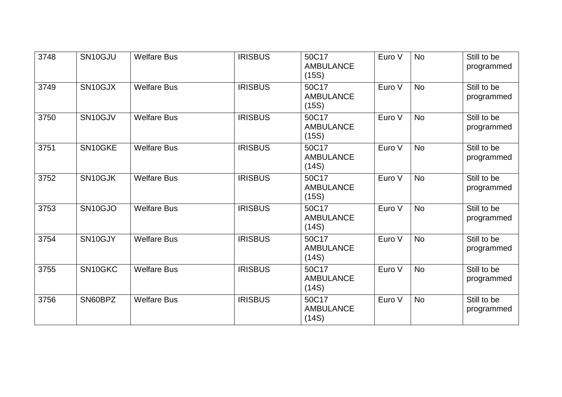| 3748 | SN10GJU              | <b>Welfare Bus</b> | <b>IRISBUS</b> | 50C17<br><b>AMBULANCE</b><br>(15S) | Euro V | <b>No</b> | Still to be<br>programmed |
|------|----------------------|--------------------|----------------|------------------------------------|--------|-----------|---------------------------|
| 3749 | SN10GJX              | <b>Welfare Bus</b> | <b>IRISBUS</b> | 50C17<br><b>AMBULANCE</b><br>(15S) | Euro V | <b>No</b> | Still to be<br>programmed |
| 3750 | SN10GJV              | <b>Welfare Bus</b> | <b>IRISBUS</b> | 50C17<br><b>AMBULANCE</b><br>(15S) | Euro V | <b>No</b> | Still to be<br>programmed |
| 3751 | SN10GKE              | <b>Welfare Bus</b> | <b>IRISBUS</b> | 50C17<br><b>AMBULANCE</b><br>(14S) | Euro V | <b>No</b> | Still to be<br>programmed |
| 3752 | SN10GJK              | <b>Welfare Bus</b> | <b>IRISBUS</b> | 50C17<br><b>AMBULANCE</b><br>(15S) | Euro V | <b>No</b> | Still to be<br>programmed |
| 3753 | SN <sub>10</sub> GJO | <b>Welfare Bus</b> | <b>IRISBUS</b> | 50C17<br><b>AMBULANCE</b><br>(14S) | Euro V | <b>No</b> | Still to be<br>programmed |
| 3754 | SN10GJY              | <b>Welfare Bus</b> | <b>IRISBUS</b> | 50C17<br><b>AMBULANCE</b><br>(14S) | Euro V | <b>No</b> | Still to be<br>programmed |
| 3755 | SN <sub>10GKC</sub>  | <b>Welfare Bus</b> | <b>IRISBUS</b> | 50C17<br><b>AMBULANCE</b><br>(14S) | Euro V | <b>No</b> | Still to be<br>programmed |
| 3756 | SN60BPZ              | <b>Welfare Bus</b> | <b>IRISBUS</b> | 50C17<br><b>AMBULANCE</b><br>(14S) | Euro V | <b>No</b> | Still to be<br>programmed |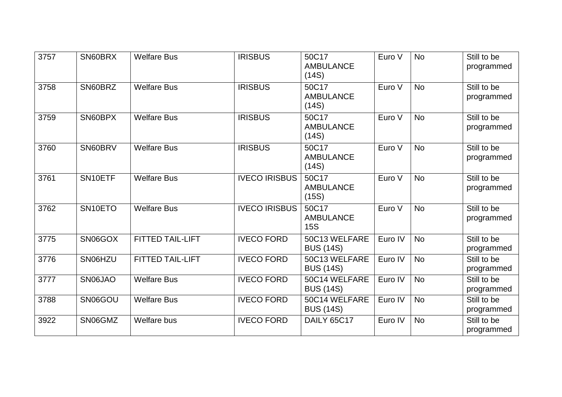| 3757 | SN60BRX | <b>Welfare Bus</b>      | <b>IRISBUS</b>       | 50C17<br><b>AMBULANCE</b><br>(14S)      | Euro V  | <b>No</b> | Still to be<br>programmed |
|------|---------|-------------------------|----------------------|-----------------------------------------|---------|-----------|---------------------------|
| 3758 | SN60BRZ | <b>Welfare Bus</b>      | <b>IRISBUS</b>       | 50C17<br><b>AMBULANCE</b><br>(14S)      | Euro V  | <b>No</b> | Still to be<br>programmed |
| 3759 | SN60BPX | <b>Welfare Bus</b>      | <b>IRISBUS</b>       | 50C17<br><b>AMBULANCE</b><br>(14S)      | Euro V  | <b>No</b> | Still to be<br>programmed |
| 3760 | SN60BRV | <b>Welfare Bus</b>      | <b>IRISBUS</b>       | 50C17<br><b>AMBULANCE</b><br>(14S)      | Euro V  | <b>No</b> | Still to be<br>programmed |
| 3761 | SN10ETF | <b>Welfare Bus</b>      | <b>IVECO IRISBUS</b> | 50C17<br><b>AMBULANCE</b><br>(15S)      | Euro V  | <b>No</b> | Still to be<br>programmed |
| 3762 | SN10ETO | <b>Welfare Bus</b>      | <b>IVECO IRISBUS</b> | 50C17<br><b>AMBULANCE</b><br><b>15S</b> | Euro V  | <b>No</b> | Still to be<br>programmed |
| 3775 | SN06GOX | FITTED TAIL-LIFT        | <b>IVECO FORD</b>    | 50C13 WELFARE<br><b>BUS (14S)</b>       | Euro IV | <b>No</b> | Still to be<br>programmed |
| 3776 | SN06HZU | <b>FITTED TAIL-LIFT</b> | <b>IVECO FORD</b>    | 50C13 WELFARE<br><b>BUS (14S)</b>       | Euro IV | <b>No</b> | Still to be<br>programmed |
| 3777 | SN06JAO | <b>Welfare Bus</b>      | <b>IVECO FORD</b>    | 50C14 WELFARE<br><b>BUS (14S)</b>       | Euro IV | <b>No</b> | Still to be<br>programmed |
| 3788 | SN06GOU | <b>Welfare Bus</b>      | <b>IVECO FORD</b>    | 50C14 WELFARE<br><b>BUS (14S)</b>       | Euro IV | <b>No</b> | Still to be<br>programmed |
| 3922 | SN06GMZ | Welfare bus             | <b>IVECO FORD</b>    | <b>DAILY 65C17</b>                      | Euro IV | <b>No</b> | Still to be<br>programmed |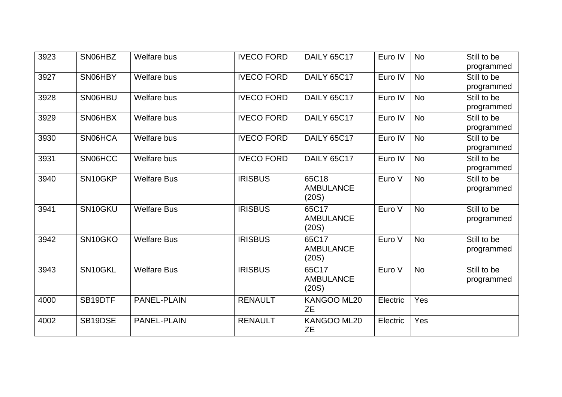| 3923 | SN06HBZ             | Welfare bus        | <b>IVECO FORD</b> | DAILY 65C17                        | Euro IV  | <b>No</b> | Still to be<br>programmed |
|------|---------------------|--------------------|-------------------|------------------------------------|----------|-----------|---------------------------|
| 3927 | SN06HBY             | Welfare bus        | <b>IVECO FORD</b> | <b>DAILY 65C17</b>                 | Euro IV  | <b>No</b> | Still to be<br>programmed |
| 3928 | SN06HBU             | <b>Welfare bus</b> | <b>IVECO FORD</b> | DAILY 65C17                        | Euro IV  | <b>No</b> | Still to be<br>programmed |
| 3929 | SN06HBX             | Welfare bus        | <b>IVECO FORD</b> | <b>DAILY 65C17</b>                 | Euro IV  | <b>No</b> | Still to be<br>programmed |
| 3930 | SN06HCA             | <b>Welfare bus</b> | <b>IVECO FORD</b> | <b>DAILY 65C17</b>                 | Euro IV  | <b>No</b> | Still to be<br>programmed |
| 3931 | SN06HCC             | <b>Welfare bus</b> | <b>IVECO FORD</b> | <b>DAILY 65C17</b>                 | Euro IV  | <b>No</b> | Still to be<br>programmed |
| 3940 | SN10GKP             | <b>Welfare Bus</b> | <b>IRISBUS</b>    | 65C18<br><b>AMBULANCE</b><br>(20S) | Euro V   | <b>No</b> | Still to be<br>programmed |
| 3941 | SN10GKU             | <b>Welfare Bus</b> | <b>IRISBUS</b>    | 65C17<br><b>AMBULANCE</b><br>(20S) | Euro V   | <b>No</b> | Still to be<br>programmed |
| 3942 | SN <sub>10GKO</sub> | <b>Welfare Bus</b> | <b>IRISBUS</b>    | 65C17<br><b>AMBULANCE</b><br>(20S) | Euro V   | <b>No</b> | Still to be<br>programmed |
| 3943 | SN10GKL             | <b>Welfare Bus</b> | <b>IRISBUS</b>    | 65C17<br><b>AMBULANCE</b><br>(20S) | Euro V   | <b>No</b> | Still to be<br>programmed |
| 4000 | SB19DTF             | PANEL-PLAIN        | <b>RENAULT</b>    | KANGOO ML20<br><b>ZE</b>           | Electric | Yes       |                           |
| 4002 | SB19DSE             | PANEL-PLAIN        | <b>RENAULT</b>    | KANGOO ML20<br><b>ZE</b>           | Electric | Yes       |                           |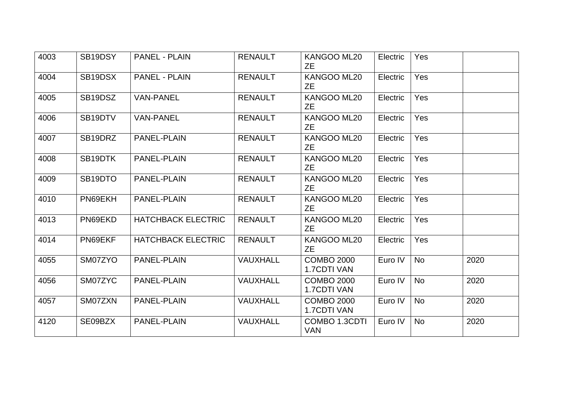| 4003 | SB19DSY              | <b>PANEL - PLAIN</b>      | <b>RENAULT</b> | KANGOO ML20<br><b>ZE</b>         | Electric | Yes       |      |
|------|----------------------|---------------------------|----------------|----------------------------------|----------|-----------|------|
| 4004 | SB19DSX              | <b>PANEL - PLAIN</b>      | <b>RENAULT</b> | KANGOO ML20<br>ZΕ                | Electric | Yes       |      |
| 4005 | SB <sub>19</sub> DSZ | <b>VAN-PANEL</b>          | <b>RENAULT</b> | KANGOO ML20<br><b>ZE</b>         | Electric | Yes       |      |
| 4006 | SB19DTV              | <b>VAN-PANEL</b>          | <b>RENAULT</b> | KANGOO ML20<br><b>ZE</b>         | Electric | Yes       |      |
| 4007 | SB19DRZ              | PANEL-PLAIN               | <b>RENAULT</b> | KANGOO ML20<br>ZE                | Electric | Yes       |      |
| 4008 | SB19DTK              | <b>PANEL-PLAIN</b>        | <b>RENAULT</b> | KANGOO ML20<br><b>ZE</b>         | Electric | Yes       |      |
| 4009 | SB <sub>19</sub> DTO | <b>PANEL-PLAIN</b>        | <b>RENAULT</b> | KANGOO ML20<br>ZE                | Electric | Yes       |      |
| 4010 | PN69EKH              | PANEL-PLAIN               | <b>RENAULT</b> | KANGOO ML20<br>ZΕ                | Electric | Yes       |      |
| 4013 | PN69EKD              | <b>HATCHBACK ELECTRIC</b> | <b>RENAULT</b> | KANGOO ML20<br><b>ZE</b>         | Electric | Yes       |      |
| 4014 | PN69EKF              | <b>HATCHBACK ELECTRIC</b> | <b>RENAULT</b> | KANGOO ML20<br><b>ZE</b>         | Electric | Yes       |      |
| 4055 | SM07ZYO              | PANEL-PLAIN               | VAUXHALL       | <b>COMBO 2000</b><br>1.7CDTI VAN | Euro IV  | <b>No</b> | 2020 |
| 4056 | SM07ZYC              | <b>PANEL-PLAIN</b>        | VAUXHALL       | <b>COMBO 2000</b><br>1.7CDTI VAN | Euro IV  | <b>No</b> | 2020 |
| 4057 | SM07ZXN              | PANEL-PLAIN               | VAUXHALL       | <b>COMBO 2000</b><br>1.7CDTI VAN | Euro IV  | <b>No</b> | 2020 |
| 4120 | SE09BZX              | PANEL-PLAIN               | VAUXHALL       | COMBO 1.3CDTI<br><b>VAN</b>      | Euro IV  | <b>No</b> | 2020 |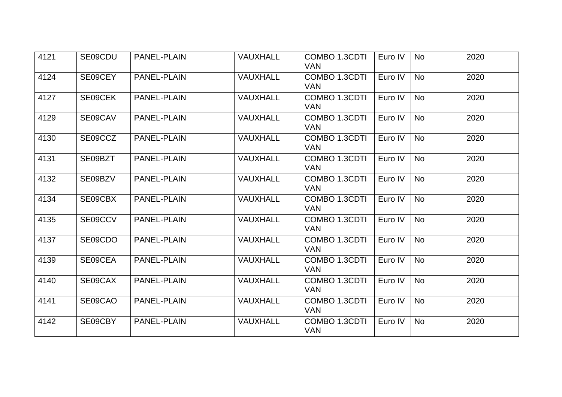| 4121 | SE09CDU | <b>PANEL-PLAIN</b> | VAUXHALL        | COMBO 1.3CDTI<br><b>VAN</b>        | Euro IV | <b>No</b> | 2020 |
|------|---------|--------------------|-----------------|------------------------------------|---------|-----------|------|
| 4124 | SE09CEY | PANEL-PLAIN        | VAUXHALL        | COMBO 1.3CDTI<br><b>VAN</b>        | Euro IV | <b>No</b> | 2020 |
| 4127 | SE09CEK | <b>PANEL-PLAIN</b> | VAUXHALL        | COMBO 1.3CDTI<br><b>VAN</b>        | Euro IV | <b>No</b> | 2020 |
| 4129 | SE09CAV | PANEL-PLAIN        | VAUXHALL        | <b>COMBO 1.3CDTI</b><br><b>VAN</b> | Euro IV | <b>No</b> | 2020 |
| 4130 | SE09CCZ | <b>PANEL-PLAIN</b> | <b>VAUXHALL</b> | COMBO 1.3CDTI<br><b>VAN</b>        | Euro IV | <b>No</b> | 2020 |
| 4131 | SE09BZT | PANEL-PLAIN        | VAUXHALL        | COMBO 1.3CDTI<br><b>VAN</b>        | Euro IV | <b>No</b> | 2020 |
| 4132 | SE09BZV | PANEL-PLAIN        | VAUXHALL        | COMBO 1.3CDTI<br><b>VAN</b>        | Euro IV | <b>No</b> | 2020 |
| 4134 | SE09CBX | PANEL-PLAIN        | VAUXHALL        | COMBO 1.3CDTI<br><b>VAN</b>        | Euro IV | <b>No</b> | 2020 |
| 4135 | SE09CCV | <b>PANEL-PLAIN</b> | VAUXHALL        | COMBO 1.3CDTI<br><b>VAN</b>        | Euro IV | <b>No</b> | 2020 |
| 4137 | SE09CDO | <b>PANEL-PLAIN</b> | VAUXHALL        | <b>COMBO 1.3CDTI</b><br><b>VAN</b> | Euro IV | <b>No</b> | 2020 |
| 4139 | SE09CEA | PANEL-PLAIN        | VAUXHALL        | <b>COMBO 1.3CDTI</b><br><b>VAN</b> | Euro IV | <b>No</b> | 2020 |
| 4140 | SE09CAX | PANEL-PLAIN        | VAUXHALL        | COMBO 1.3CDTI<br><b>VAN</b>        | Euro IV | <b>No</b> | 2020 |
| 4141 | SE09CAO | PANEL-PLAIN        | VAUXHALL        | <b>COMBO 1.3CDTI</b><br><b>VAN</b> | Euro IV | <b>No</b> | 2020 |
| 4142 | SE09CBY | PANEL-PLAIN        | VAUXHALL        | COMBO 1.3CDTI<br><b>VAN</b>        | Euro IV | <b>No</b> | 2020 |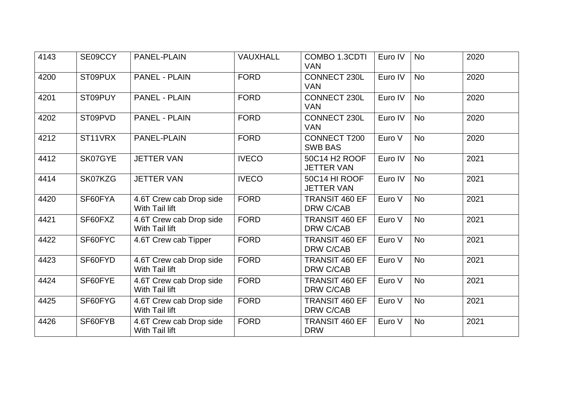| 4143 | SE09CCY | PANEL-PLAIN                               | VAUXHALL     | COMBO 1.3CDTI<br><b>VAN</b>           | Euro IV | <b>No</b> | 2020 |
|------|---------|-------------------------------------------|--------------|---------------------------------------|---------|-----------|------|
| 4200 | ST09PUX | <b>PANEL - PLAIN</b>                      | <b>FORD</b>  | CONNECT 230L<br><b>VAN</b>            | Euro IV | <b>No</b> | 2020 |
| 4201 | ST09PUY | <b>PANEL - PLAIN</b>                      | <b>FORD</b>  | <b>CONNECT 230L</b><br><b>VAN</b>     | Euro IV | <b>No</b> | 2020 |
| 4202 | ST09PVD | <b>PANEL - PLAIN</b>                      | <b>FORD</b>  | <b>CONNECT 230L</b><br><b>VAN</b>     | Euro IV | <b>No</b> | 2020 |
| 4212 | ST11VRX | PANEL-PLAIN                               | <b>FORD</b>  | <b>CONNECT T200</b><br><b>SWB BAS</b> | Euro V  | <b>No</b> | 2020 |
| 4412 | SK07GYE | <b>JETTER VAN</b>                         | <b>IVECO</b> | 50C14 H2 ROOF<br><b>JETTER VAN</b>    | Euro IV | <b>No</b> | 2021 |
| 4414 | SK07KZG | <b>JETTER VAN</b>                         | <b>IVECO</b> | 50C14 HI ROOF<br><b>JETTER VAN</b>    | Euro IV | <b>No</b> | 2021 |
| 4420 | SF60FYA | 4.6T Crew cab Drop side<br>With Tail lift | <b>FORD</b>  | <b>TRANSIT 460 EF</b><br>DRW C/CAB    | Euro V  | <b>No</b> | 2021 |
| 4421 | SF60FXZ | 4.6T Crew cab Drop side<br>With Tail lift | <b>FORD</b>  | <b>TRANSIT 460 EF</b><br>DRW C/CAB    | Euro V  | <b>No</b> | 2021 |
| 4422 | SF60FYC | 4.6T Crew cab Tipper                      | <b>FORD</b>  | TRANSIT 460 EF<br>DRW C/CAB           | Euro V  | <b>No</b> | 2021 |
| 4423 | SF60FYD | 4.6T Crew cab Drop side<br>With Tail lift | <b>FORD</b>  | <b>TRANSIT 460 EF</b><br>DRW C/CAB    | Euro V  | <b>No</b> | 2021 |
| 4424 | SF60FYE | 4.6T Crew cab Drop side<br>With Tail lift | <b>FORD</b>  | <b>TRANSIT 460 EF</b><br>DRW C/CAB    | Euro V  | <b>No</b> | 2021 |
| 4425 | SF60FYG | 4.6T Crew cab Drop side<br>With Tail lift | <b>FORD</b>  | <b>TRANSIT 460 EF</b><br>DRW C/CAB    | Euro V  | <b>No</b> | 2021 |
| 4426 | SF60FYB | 4.6T Crew cab Drop side<br>With Tail lift | <b>FORD</b>  | TRANSIT 460 EF<br><b>DRW</b>          | Euro V  | <b>No</b> | 2021 |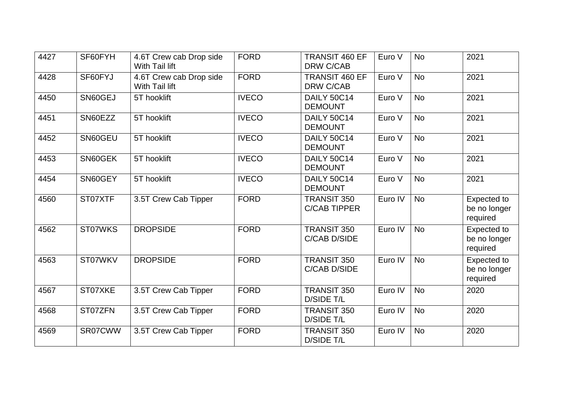| 4427 | SF60FYH | 4.6T Crew cab Drop side<br>With Tail lift | <b>FORD</b>  | TRANSIT 460 EF<br>DRW C/CAB               | Euro V  | <b>No</b> | 2021                                    |
|------|---------|-------------------------------------------|--------------|-------------------------------------------|---------|-----------|-----------------------------------------|
| 4428 | SF60FYJ | 4.6T Crew cab Drop side<br>With Tail lift | <b>FORD</b>  | <b>TRANSIT 460 EF</b><br>DRW C/CAB        | Euro V  | <b>No</b> | 2021                                    |
| 4450 | SN60GEJ | 5T hooklift                               | <b>IVECO</b> | <b>DAILY 50C14</b><br><b>DEMOUNT</b>      | Euro V  | <b>No</b> | 2021                                    |
| 4451 | SN60EZZ | 5T hooklift                               | <b>IVECO</b> | <b>DAILY 50C14</b><br><b>DEMOUNT</b>      | Euro V  | <b>No</b> | 2021                                    |
| 4452 | SN60GEU | 5T hooklift                               | <b>IVECO</b> | <b>DAILY 50C14</b><br><b>DEMOUNT</b>      | Euro V  | <b>No</b> | 2021                                    |
| 4453 | SN60GEK | 5T hooklift                               | <b>IVECO</b> | <b>DAILY 50C14</b><br><b>DEMOUNT</b>      | Euro V  | <b>No</b> | 2021                                    |
| 4454 | SN60GEY | 5T hooklift                               | <b>IVECO</b> | <b>DAILY 50C14</b><br><b>DEMOUNT</b>      | Euro V  | <b>No</b> | 2021                                    |
| 4560 | ST07XTF | 3.5T Crew Cab Tipper                      | <b>FORD</b>  | <b>TRANSIT 350</b><br><b>C/CAB TIPPER</b> | Euro IV | <b>No</b> | Expected to<br>be no longer<br>required |
| 4562 | ST07WKS | <b>DROPSIDE</b>                           | <b>FORD</b>  | <b>TRANSIT 350</b><br>C/CAB D/SIDE        | Euro IV | <b>No</b> | Expected to<br>be no longer<br>required |
| 4563 | ST07WKV | <b>DROPSIDE</b>                           | <b>FORD</b>  | <b>TRANSIT 350</b><br>C/CAB D/SIDE        | Euro IV | <b>No</b> | Expected to<br>be no longer<br>required |
| 4567 | ST07XKE | 3.5T Crew Cab Tipper                      | <b>FORD</b>  | <b>TRANSIT 350</b><br>D/SIDE T/L          | Euro IV | <b>No</b> | 2020                                    |
| 4568 | ST07ZFN | 3.5T Crew Cab Tipper                      | <b>FORD</b>  | <b>TRANSIT 350</b><br>D/SIDE T/L          | Euro IV | <b>No</b> | 2020                                    |
| 4569 | SR07CWW | 3.5T Crew Cab Tipper                      | <b>FORD</b>  | <b>TRANSIT 350</b><br><b>D/SIDE T/L</b>   | Euro IV | <b>No</b> | 2020                                    |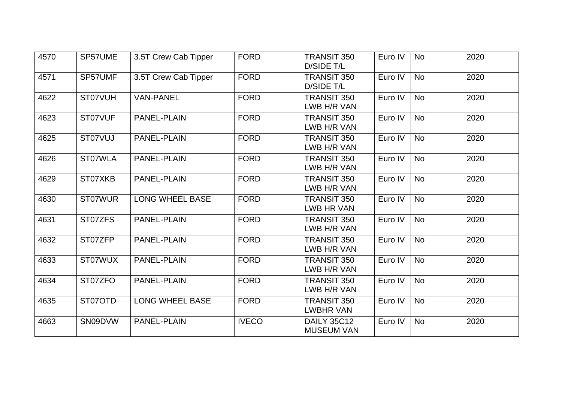| 4570 | SP57UME | 3.5T Crew Cab Tipper   | <b>FORD</b>  | <b>TRANSIT 350</b><br>D/SIDE T/L        | Euro IV | <b>No</b> | 2020 |
|------|---------|------------------------|--------------|-----------------------------------------|---------|-----------|------|
| 4571 | SP57UMF | 3.5T Crew Cab Tipper   | <b>FORD</b>  | <b>TRANSIT 350</b><br><b>D/SIDE T/L</b> | Euro IV | <b>No</b> | 2020 |
| 4622 | ST07VUH | <b>VAN-PANEL</b>       | <b>FORD</b>  | <b>TRANSIT 350</b><br>LWB H/R VAN       | Euro IV | <b>No</b> | 2020 |
| 4623 | ST07VUF | PANEL-PLAIN            | <b>FORD</b>  | <b>TRANSIT 350</b><br>LWB H/R VAN       | Euro IV | <b>No</b> | 2020 |
| 4625 | ST07VUJ | PANEL-PLAIN            | <b>FORD</b>  | <b>TRANSIT 350</b><br>LWB H/R VAN       | Euro IV | <b>No</b> | 2020 |
| 4626 | ST07WLA | <b>PANEL-PLAIN</b>     | <b>FORD</b>  | <b>TRANSIT 350</b><br>LWB H/R VAN       | Euro IV | <b>No</b> | 2020 |
| 4629 | ST07XKB | <b>PANEL-PLAIN</b>     | <b>FORD</b>  | <b>TRANSIT 350</b><br>LWB H/R VAN       | Euro IV | <b>No</b> | 2020 |
| 4630 | ST07WUR | <b>LONG WHEEL BASE</b> | <b>FORD</b>  | <b>TRANSIT 350</b><br>LWB HR VAN        | Euro IV | <b>No</b> | 2020 |
| 4631 | ST07ZFS | <b>PANEL-PLAIN</b>     | <b>FORD</b>  | <b>TRANSIT 350</b><br>LWB H/R VAN       | Euro IV | <b>No</b> | 2020 |
| 4632 | ST07ZFP | PANEL-PLAIN            | <b>FORD</b>  | <b>TRANSIT 350</b><br>LWB H/R VAN       | Euro IV | <b>No</b> | 2020 |
| 4633 | ST07WUX | PANEL-PLAIN            | <b>FORD</b>  | TRANSIT 350<br>LWB H/R VAN              | Euro IV | <b>No</b> | 2020 |
| 4634 | ST07ZFO | PANEL-PLAIN            | <b>FORD</b>  | <b>TRANSIT 350</b><br>LWB H/R VAN       | Euro IV | <b>No</b> | 2020 |
| 4635 | ST07OTD | <b>LONG WHEEL BASE</b> | <b>FORD</b>  | <b>TRANSIT 350</b><br><b>LWBHR VAN</b>  | Euro IV | <b>No</b> | 2020 |
| 4663 | SN09DVW | <b>PANEL-PLAIN</b>     | <b>IVECO</b> | <b>DAILY 35C12</b><br><b>MUSEUM VAN</b> | Euro IV | <b>No</b> | 2020 |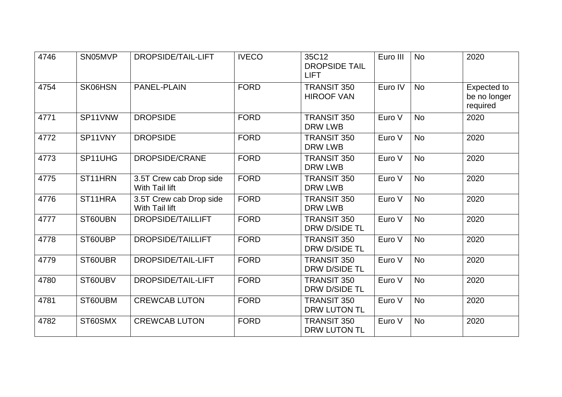| 4746 | SN05MVP | <b>DROPSIDE/TAIL-LIFT</b>                 | <b>IVECO</b> | 35C12<br><b>DROPSIDE TAIL</b><br><b>LIFT</b> | Euro III | <b>No</b> | 2020                                    |
|------|---------|-------------------------------------------|--------------|----------------------------------------------|----------|-----------|-----------------------------------------|
| 4754 | SK06HSN | <b>PANEL-PLAIN</b>                        | <b>FORD</b>  | <b>TRANSIT 350</b><br><b>HIROOF VAN</b>      | Euro IV  | <b>No</b> | Expected to<br>be no longer<br>required |
| 4771 | SP11VNW | <b>DROPSIDE</b>                           | <b>FORD</b>  | <b>TRANSIT 350</b><br><b>DRW LWB</b>         | Euro V   | <b>No</b> | 2020                                    |
| 4772 | SP11VNY | <b>DROPSIDE</b>                           | <b>FORD</b>  | <b>TRANSIT 350</b><br><b>DRW LWB</b>         | Euro V   | <b>No</b> | 2020                                    |
| 4773 | SP11UHG | <b>DROPSIDE/CRANE</b>                     | <b>FORD</b>  | <b>TRANSIT 350</b><br><b>DRW LWB</b>         | Euro V   | <b>No</b> | 2020                                    |
| 4775 | ST11HRN | 3.5T Crew cab Drop side<br>With Tail lift | <b>FORD</b>  | <b>TRANSIT 350</b><br>DRW LWB                | Euro V   | <b>No</b> | 2020                                    |
| 4776 | ST11HRA | 3.5T Crew cab Drop side<br>With Tail lift | <b>FORD</b>  | <b>TRANSIT 350</b><br><b>DRW LWB</b>         | Euro V   | <b>No</b> | 2020                                    |
| 4777 | ST60UBN | <b>DROPSIDE/TAILLIFT</b>                  | <b>FORD</b>  | <b>TRANSIT 350</b><br>DRW D/SIDE TL          | Euro V   | <b>No</b> | 2020                                    |
| 4778 | ST60UBP | <b>DROPSIDE/TAILLIFT</b>                  | <b>FORD</b>  | <b>TRANSIT 350</b><br>DRW D/SIDE TL          | Euro V   | <b>No</b> | 2020                                    |
| 4779 | ST60UBR | <b>DROPSIDE/TAIL-LIFT</b>                 | <b>FORD</b>  | TRANSIT 350<br>DRW D/SIDE TL                 | Euro V   | <b>No</b> | 2020                                    |
| 4780 | ST60UBV | <b>DROPSIDE/TAIL-LIFT</b>                 | <b>FORD</b>  | <b>TRANSIT 350</b><br>DRW D/SIDE TL          | Euro V   | <b>No</b> | 2020                                    |
| 4781 | ST60UBM | <b>CREWCAB LUTON</b>                      | <b>FORD</b>  | <b>TRANSIT 350</b><br><b>DRW LUTON TL</b>    | Euro V   | <b>No</b> | 2020                                    |
| 4782 | ST60SMX | <b>CREWCAB LUTON</b>                      | <b>FORD</b>  | <b>TRANSIT 350</b><br>DRW LUTON TL           | Euro V   | <b>No</b> | 2020                                    |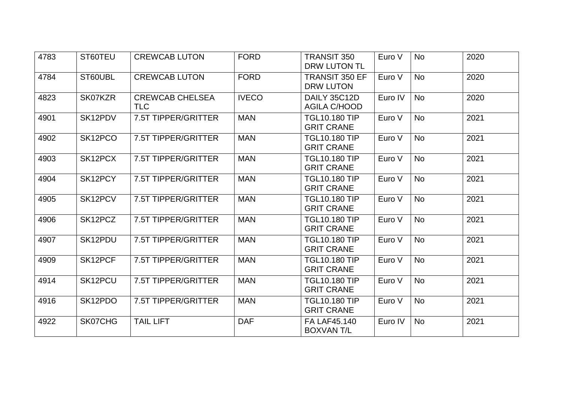| 4783 | ST60TEU                          | <b>CREWCAB LUTON</b>                 | <b>FORD</b>  | <b>TRANSIT 350</b><br><b>DRW LUTON TL</b> | Euro V  | <b>No</b> | 2020 |
|------|----------------------------------|--------------------------------------|--------------|-------------------------------------------|---------|-----------|------|
| 4784 | ST60UBL                          | <b>CREWCAB LUTON</b>                 | <b>FORD</b>  | <b>TRANSIT 350 EF</b><br><b>DRW LUTON</b> | Euro V  | <b>No</b> | 2020 |
| 4823 | SK07KZR                          | <b>CREWCAB CHELSEA</b><br><b>TLC</b> | <b>IVECO</b> | DAILY 35C12D<br><b>AGILA C/HOOD</b>       | Euro IV | <b>No</b> | 2020 |
| 4901 | SK12PDV                          | 7.5T TIPPER/GRITTER                  | <b>MAN</b>   | <b>TGL10.180 TIP</b><br><b>GRIT CRANE</b> | Euro V  | <b>No</b> | 2021 |
| 4902 | SK12PCO                          | 7.5T TIPPER/GRITTER                  | <b>MAN</b>   | <b>TGL10.180 TIP</b><br><b>GRIT CRANE</b> | Euro V  | <b>No</b> | 2021 |
| 4903 | SK12PCX                          | 7.5T TIPPER/GRITTER                  | <b>MAN</b>   | <b>TGL10.180 TIP</b><br><b>GRIT CRANE</b> | Euro V  | <b>No</b> | 2021 |
| 4904 | SK12PCY                          | 7.5T TIPPER/GRITTER                  | <b>MAN</b>   | <b>TGL10.180 TIP</b><br><b>GRIT CRANE</b> | Euro V  | <b>No</b> | 2021 |
| 4905 | SK12PCV                          | 7.5T TIPPER/GRITTER                  | <b>MAN</b>   | <b>TGL10.180 TIP</b><br><b>GRIT CRANE</b> | Euro V  | <b>No</b> | 2021 |
| 4906 | SK <sub>12</sub> PC <sub>Z</sub> | 7.5T TIPPER/GRITTER                  | <b>MAN</b>   | <b>TGL10.180 TIP</b><br><b>GRIT CRANE</b> | Euro V  | <b>No</b> | 2021 |
| 4907 | SK12PDU                          | 7.5T TIPPER/GRITTER                  | <b>MAN</b>   | <b>TGL10.180 TIP</b><br><b>GRIT CRANE</b> | Euro V  | No        | 2021 |
| 4909 | SK12PCF                          | 7.5T TIPPER/GRITTER                  | <b>MAN</b>   | <b>TGL10.180 TIP</b><br><b>GRIT CRANE</b> | Euro V  | <b>No</b> | 2021 |
| 4914 | SK12PCU                          | 7.5T TIPPER/GRITTER                  | <b>MAN</b>   | <b>TGL10.180 TIP</b><br><b>GRIT CRANE</b> | Euro V  | <b>No</b> | 2021 |
| 4916 | SK12PDO                          | 7.5T TIPPER/GRITTER                  | <b>MAN</b>   | <b>TGL10.180 TIP</b><br><b>GRIT CRANE</b> | Euro V  | <b>No</b> | 2021 |
| 4922 | SK07CHG                          | <b>TAIL LIFT</b>                     | <b>DAF</b>   | FA LAF45.140<br><b>BOXVAN T/L</b>         | Euro IV | <b>No</b> | 2021 |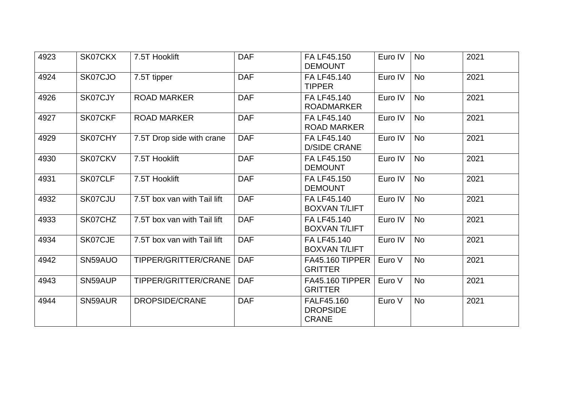| 4923 | SK07CKX | 7.5T Hooklift               | <b>DAF</b> | FA LF45.150<br><b>DEMOUNT</b>                 | Euro IV | <b>No</b> | 2021 |
|------|---------|-----------------------------|------------|-----------------------------------------------|---------|-----------|------|
| 4924 | SK07CJO | 7.5T tipper                 | <b>DAF</b> | FA LF45.140<br><b>TIPPER</b>                  | Euro IV | <b>No</b> | 2021 |
| 4926 | SK07CJY | <b>ROAD MARKER</b>          | <b>DAF</b> | FA LF45.140<br><b>ROADMARKER</b>              | Euro IV | No        | 2021 |
| 4927 | SK07CKF | <b>ROAD MARKER</b>          | <b>DAF</b> | FA LF45.140<br><b>ROAD MARKER</b>             | Euro IV | <b>No</b> | 2021 |
| 4929 | SK07CHY | 7.5T Drop side with crane   | <b>DAF</b> | FA LF45.140<br><b>D/SIDE CRANE</b>            | Euro IV | <b>No</b> | 2021 |
| 4930 | SK07CKV | 7.5T Hooklift               | <b>DAF</b> | FA LF45.150<br><b>DEMOUNT</b>                 | Euro IV | <b>No</b> | 2021 |
| 4931 | SK07CLF | 7.5T Hooklift               | <b>DAF</b> | FA LF45.150<br><b>DEMOUNT</b>                 | Euro IV | <b>No</b> | 2021 |
| 4932 | SK07CJU | 7.5T box van with Tail lift | <b>DAF</b> | FA LF45.140<br><b>BOXVAN T/LIFT</b>           | Euro IV | <b>No</b> | 2021 |
| 4933 | SK07CHZ | 7.5T box van with Tail lift | <b>DAF</b> | FA LF45.140<br><b>BOXVAN T/LIFT</b>           | Euro IV | <b>No</b> | 2021 |
| 4934 | SK07CJE | 7.5T box van with Tail lift | <b>DAF</b> | FA LF45.140<br><b>BOXVAN T/LIFT</b>           | Euro IV | <b>No</b> | 2021 |
| 4942 | SN59AUO | TIPPER/GRITTER/CRANE        | <b>DAF</b> | FA45.160 TIPPER<br><b>GRITTER</b>             | Euro V  | <b>No</b> | 2021 |
| 4943 | SN59AUP | TIPPER/GRITTER/CRANE        | <b>DAF</b> | <b>FA45.160 TIPPER</b><br><b>GRITTER</b>      | Euro V  | <b>No</b> | 2021 |
| 4944 | SN59AUR | DROPSIDE/CRANE              | <b>DAF</b> | FALF45.160<br><b>DROPSIDE</b><br><b>CRANE</b> | Euro V  | <b>No</b> | 2021 |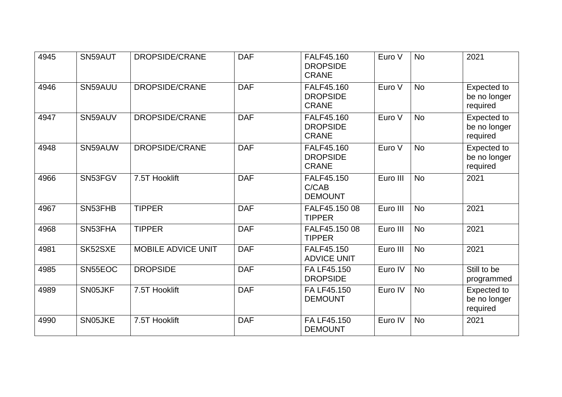| 4945 | SN59AUT | <b>DROPSIDE/CRANE</b> | <b>DAF</b> | FALF45.160<br><b>DROPSIDE</b><br><b>CRANE</b> | Euro V   | <b>No</b> | 2021                                    |
|------|---------|-----------------------|------------|-----------------------------------------------|----------|-----------|-----------------------------------------|
| 4946 | SN59AUU | <b>DROPSIDE/CRANE</b> | <b>DAF</b> | FALF45.160<br><b>DROPSIDE</b><br><b>CRANE</b> | Euro V   | <b>No</b> | Expected to<br>be no longer<br>required |
| 4947 | SN59AUV | <b>DROPSIDE/CRANE</b> | <b>DAF</b> | FALF45.160<br><b>DROPSIDE</b><br><b>CRANE</b> | Euro V   | <b>No</b> | Expected to<br>be no longer<br>required |
| 4948 | SN59AUW | DROPSIDE/CRANE        | <b>DAF</b> | FALF45.160<br><b>DROPSIDE</b><br><b>CRANE</b> | Euro V   | <b>No</b> | Expected to<br>be no longer<br>required |
| 4966 | SN53FGV | 7.5T Hooklift         | <b>DAF</b> | FALF45.150<br>C/CAB<br><b>DEMOUNT</b>         | Euro III | <b>No</b> | 2021                                    |
| 4967 | SN53FHB | <b>TIPPER</b>         | <b>DAF</b> | FALF45.150 08<br><b>TIPPER</b>                | Euro III | <b>No</b> | 2021                                    |
| 4968 | SN53FHA | <b>TIPPER</b>         | <b>DAF</b> | FALF45.150 08<br><b>TIPPER</b>                | Euro III | <b>No</b> | 2021                                    |
| 4981 | SK52SXE | MOBILE ADVICE UNIT    | <b>DAF</b> | FALF45.150<br><b>ADVICE UNIT</b>              | Euro III | <b>No</b> | 2021                                    |
| 4985 | SN55EOC | <b>DROPSIDE</b>       | <b>DAF</b> | FA LF45.150<br><b>DROPSIDE</b>                | Euro IV  | <b>No</b> | Still to be<br>programmed               |
| 4989 | SN05JKF | 7.5T Hooklift         | <b>DAF</b> | FA LF45.150<br><b>DEMOUNT</b>                 | Euro IV  | <b>No</b> | Expected to<br>be no longer<br>required |
| 4990 | SN05JKE | 7.5T Hooklift         | <b>DAF</b> | FA LF45.150<br><b>DEMOUNT</b>                 | Euro IV  | <b>No</b> | 2021                                    |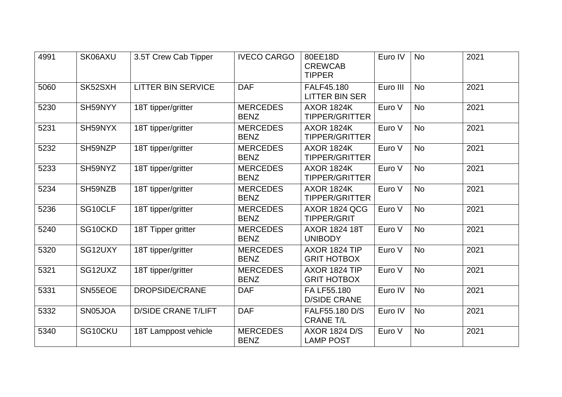| 4991 | SK06AXU | 3.5T Crew Cab Tipper       | <b>IVECO CARGO</b>             | 80EE18D<br><b>CREWCAB</b><br><b>TIPPER</b> | Euro IV  | <b>No</b> | 2021 |
|------|---------|----------------------------|--------------------------------|--------------------------------------------|----------|-----------|------|
| 5060 | SK52SXH | <b>LITTER BIN SERVICE</b>  | <b>DAF</b>                     | FALF45.180<br><b>LITTER BIN SER</b>        | Euro III | <b>No</b> | 2021 |
| 5230 | SH59NYY | 18T tipper/gritter         | <b>MERCEDES</b><br><b>BENZ</b> | <b>AXOR 1824K</b><br><b>TIPPER/GRITTER</b> | Euro V   | <b>No</b> | 2021 |
| 5231 | SH59NYX | 18T tipper/gritter         | <b>MERCEDES</b><br><b>BENZ</b> | <b>AXOR 1824K</b><br><b>TIPPER/GRITTER</b> | Euro V   | <b>No</b> | 2021 |
| 5232 | SH59NZP | 18T tipper/gritter         | <b>MERCEDES</b><br><b>BENZ</b> | <b>AXOR 1824K</b><br><b>TIPPER/GRITTER</b> | Euro V   | <b>No</b> | 2021 |
| 5233 | SH59NYZ | 18T tipper/gritter         | <b>MERCEDES</b><br><b>BENZ</b> | <b>AXOR 1824K</b><br>TIPPER/GRITTER        | Euro V   | <b>No</b> | 2021 |
| 5234 | SH59NZB | 18T tipper/gritter         | <b>MERCEDES</b><br><b>BENZ</b> | <b>AXOR 1824K</b><br><b>TIPPER/GRITTER</b> | Euro V   | <b>No</b> | 2021 |
| 5236 | SG10CLF | 18T tipper/gritter         | <b>MERCEDES</b><br><b>BENZ</b> | <b>AXOR 1824 QCG</b><br><b>TIPPER/GRIT</b> | Euro V   | <b>No</b> | 2021 |
| 5240 | SG10CKD | 18T Tipper gritter         | <b>MERCEDES</b><br><b>BENZ</b> | <b>AXOR 1824 18T</b><br><b>UNIBODY</b>     | Euro V   | <b>No</b> | 2021 |
| 5320 | SG12UXY | 18T tipper/gritter         | <b>MERCEDES</b><br><b>BENZ</b> | AXOR 1824 TIP<br><b>GRIT HOTBOX</b>        | Euro V   | <b>No</b> | 2021 |
| 5321 | SG12UXZ | 18T tipper/gritter         | <b>MERCEDES</b><br><b>BENZ</b> | AXOR 1824 TIP<br><b>GRIT HOTBOX</b>        | Euro V   | <b>No</b> | 2021 |
| 5331 | SN55EOE | <b>DROPSIDE/CRANE</b>      | <b>DAF</b>                     | FA LF55.180<br><b>D/SIDE CRANE</b>         | Euro IV  | <b>No</b> | 2021 |
| 5332 | SN05JOA | <b>D/SIDE CRANE T/LIFT</b> | <b>DAF</b>                     | FALF55.180 D/S<br><b>CRANE T/L</b>         | Euro IV  | <b>No</b> | 2021 |
| 5340 | SG10CKU | 18T Lamppost vehicle       | <b>MERCEDES</b><br><b>BENZ</b> | <b>AXOR 1824 D/S</b><br><b>LAMP POST</b>   | Euro V   | <b>No</b> | 2021 |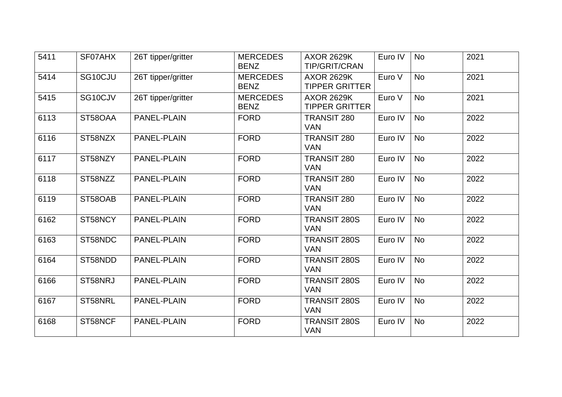| 5411 | SF07AHX | 26T tipper/gritter | <b>MERCEDES</b><br><b>BENZ</b> | <b>AXOR 2629K</b><br><b>TIP/GRIT/CRAN</b>  | Euro IV | <b>No</b> | 2021 |
|------|---------|--------------------|--------------------------------|--------------------------------------------|---------|-----------|------|
| 5414 | SG10CJU | 26T tipper/gritter | <b>MERCEDES</b><br><b>BENZ</b> | <b>AXOR 2629K</b><br><b>TIPPER GRITTER</b> | Euro V  | <b>No</b> | 2021 |
| 5415 | SG10CJV | 26T tipper/gritter | <b>MERCEDES</b><br><b>BENZ</b> | <b>AXOR 2629K</b><br><b>TIPPER GRITTER</b> | Euro V  | <b>No</b> | 2021 |
| 6113 | ST58OAA | <b>PANEL-PLAIN</b> | <b>FORD</b>                    | <b>TRANSIT 280</b><br><b>VAN</b>           | Euro IV | <b>No</b> | 2022 |
| 6116 | ST58NZX | PANEL-PLAIN        | <b>FORD</b>                    | TRANSIT 280<br><b>VAN</b>                  | Euro IV | No        | 2022 |
| 6117 | ST58NZY | PANEL-PLAIN        | <b>FORD</b>                    | TRANSIT 280<br><b>VAN</b>                  | Euro IV | <b>No</b> | 2022 |
| 6118 | ST58NZZ | PANEL-PLAIN        | <b>FORD</b>                    | TRANSIT 280<br><b>VAN</b>                  | Euro IV | <b>No</b> | 2022 |
| 6119 | ST58OAB | PANEL-PLAIN        | <b>FORD</b>                    | TRANSIT 280<br><b>VAN</b>                  | Euro IV | <b>No</b> | 2022 |
| 6162 | ST58NCY | <b>PANEL-PLAIN</b> | <b>FORD</b>                    | <b>TRANSIT 280S</b><br><b>VAN</b>          | Euro IV | <b>No</b> | 2022 |
| 6163 | ST58NDC | <b>PANEL-PLAIN</b> | <b>FORD</b>                    | <b>TRANSIT 280S</b><br><b>VAN</b>          | Euro IV | <b>No</b> | 2022 |
| 6164 | ST58NDD | PANEL-PLAIN        | <b>FORD</b>                    | <b>TRANSIT 280S</b><br><b>VAN</b>          | Euro IV | <b>No</b> | 2022 |
| 6166 | ST58NRJ | PANEL-PLAIN        | <b>FORD</b>                    | <b>TRANSIT 280S</b><br><b>VAN</b>          | Euro IV | <b>No</b> | 2022 |
| 6167 | ST58NRL | PANEL-PLAIN        | <b>FORD</b>                    | <b>TRANSIT 280S</b><br><b>VAN</b>          | Euro IV | <b>No</b> | 2022 |
| 6168 | ST58NCF | PANEL-PLAIN        | <b>FORD</b>                    | <b>TRANSIT 280S</b><br><b>VAN</b>          | Euro IV | <b>No</b> | 2022 |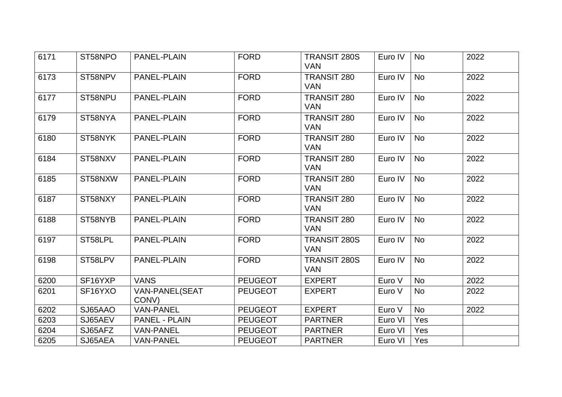| 6171 | ST58NPO                          | PANEL-PLAIN             | <b>FORD</b>    | <b>TRANSIT 280S</b><br><b>VAN</b> | Euro IV | <b>No</b> | 2022 |
|------|----------------------------------|-------------------------|----------------|-----------------------------------|---------|-----------|------|
| 6173 | ST58NPV                          | PANEL-PLAIN             | <b>FORD</b>    | TRANSIT 280<br><b>VAN</b>         | Euro IV | <b>No</b> | 2022 |
| 6177 | ST58NPU                          | <b>PANEL-PLAIN</b>      | <b>FORD</b>    | <b>TRANSIT 280</b><br><b>VAN</b>  | Euro IV | <b>No</b> | 2022 |
| 6179 | ST58NYA                          | PANEL-PLAIN             | <b>FORD</b>    | TRANSIT 280<br><b>VAN</b>         | Euro IV | <b>No</b> | 2022 |
| 6180 | ST58NYK                          | PANEL-PLAIN             | <b>FORD</b>    | TRANSIT 280<br><b>VAN</b>         | Euro IV | <b>No</b> | 2022 |
| 6184 | ST58NXV                          | <b>PANEL-PLAIN</b>      | <b>FORD</b>    | TRANSIT 280<br><b>VAN</b>         | Euro IV | <b>No</b> | 2022 |
| 6185 | ST58NXW                          | PANEL-PLAIN             | <b>FORD</b>    | TRANSIT 280<br><b>VAN</b>         | Euro IV | <b>No</b> | 2022 |
| 6187 | ST58NXY                          | PANEL-PLAIN             | <b>FORD</b>    | TRANSIT 280<br><b>VAN</b>         | Euro IV | <b>No</b> | 2022 |
| 6188 | ST58NYB                          | <b>PANEL-PLAIN</b>      | <b>FORD</b>    | TRANSIT 280<br><b>VAN</b>         | Euro IV | <b>No</b> | 2022 |
| 6197 | ST58LPL                          | <b>PANEL-PLAIN</b>      | <b>FORD</b>    | <b>TRANSIT 280S</b><br><b>VAN</b> | Euro IV | <b>No</b> | 2022 |
| 6198 | ST58LPV                          | PANEL-PLAIN             | <b>FORD</b>    | <b>TRANSIT 280S</b><br><b>VAN</b> | Euro IV | <b>No</b> | 2022 |
| 6200 | SF16YXP                          | <b>VANS</b>             | <b>PEUGEOT</b> | <b>EXPERT</b>                     | Euro V  | <b>No</b> | 2022 |
| 6201 | SF <sub>16</sub> Y <sub>XO</sub> | VAN-PANEL(SEAT<br>CONV) | <b>PEUGEOT</b> | <b>EXPERT</b>                     | Euro V  | <b>No</b> | 2022 |
| 6202 | SJ65AAO                          | <b>VAN-PANEL</b>        | <b>PEUGEOT</b> | <b>EXPERT</b>                     | Euro V  | <b>No</b> | 2022 |
| 6203 | SJ65AEV                          | <b>PANEL - PLAIN</b>    | <b>PEUGEOT</b> | <b>PARTNER</b>                    | Euro VI | Yes       |      |
| 6204 | SJ65AFZ                          | <b>VAN-PANEL</b>        | <b>PEUGEOT</b> | <b>PARTNER</b>                    | Euro VI | Yes       |      |
| 6205 | SJ65AEA                          | <b>VAN-PANEL</b>        | <b>PEUGEOT</b> | <b>PARTNER</b>                    | Euro VI | Yes       |      |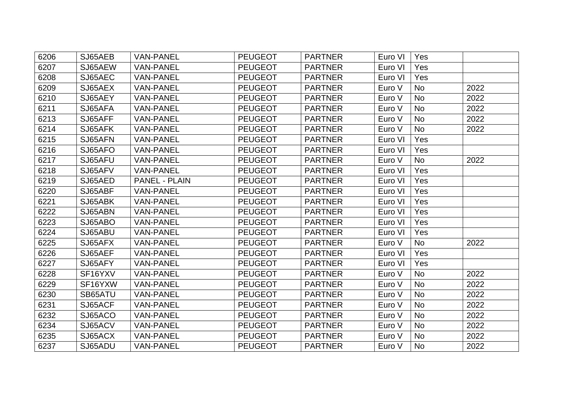| 6206 | SJ65AEB | <b>VAN-PANEL</b>     | <b>PEUGEOT</b> | <b>PARTNER</b> | Euro VI | Yes       |      |
|------|---------|----------------------|----------------|----------------|---------|-----------|------|
| 6207 | SJ65AEW | <b>VAN-PANEL</b>     | <b>PEUGEOT</b> | <b>PARTNER</b> | Euro VI | Yes       |      |
| 6208 | SJ65AEC | <b>VAN-PANEL</b>     | <b>PEUGEOT</b> | <b>PARTNER</b> | Euro VI | Yes       |      |
| 6209 | SJ65AEX | <b>VAN-PANEL</b>     | <b>PEUGEOT</b> | <b>PARTNER</b> | Euro V  | <b>No</b> | 2022 |
| 6210 | SJ65AEY | <b>VAN-PANEL</b>     | <b>PEUGEOT</b> | <b>PARTNER</b> | Euro V  | <b>No</b> | 2022 |
| 6211 | SJ65AFA | <b>VAN-PANEL</b>     | <b>PEUGEOT</b> | <b>PARTNER</b> | Euro V  | <b>No</b> | 2022 |
| 6213 | SJ65AFF | <b>VAN-PANEL</b>     | <b>PEUGEOT</b> | <b>PARTNER</b> | Euro V  | <b>No</b> | 2022 |
| 6214 | SJ65AFK | <b>VAN-PANEL</b>     | <b>PEUGEOT</b> | <b>PARTNER</b> | Euro V  | <b>No</b> | 2022 |
| 6215 | SJ65AFN | <b>VAN-PANEL</b>     | <b>PEUGEOT</b> | <b>PARTNER</b> | Euro VI | Yes       |      |
| 6216 | SJ65AFO | <b>VAN-PANEL</b>     | <b>PEUGEOT</b> | <b>PARTNER</b> | Euro VI | Yes       |      |
| 6217 | SJ65AFU | <b>VAN-PANEL</b>     | <b>PEUGEOT</b> | <b>PARTNER</b> | Euro V  | No        | 2022 |
| 6218 | SJ65AFV | <b>VAN-PANEL</b>     | <b>PEUGEOT</b> | <b>PARTNER</b> | Euro VI | Yes       |      |
| 6219 | SJ65AED | <b>PANEL - PLAIN</b> | <b>PEUGEOT</b> | <b>PARTNER</b> | Euro VI | Yes       |      |
| 6220 | SJ65ABF | <b>VAN-PANEL</b>     | <b>PEUGEOT</b> | <b>PARTNER</b> | Euro VI | Yes       |      |
| 6221 | SJ65ABK | <b>VAN-PANEL</b>     | <b>PEUGEOT</b> | <b>PARTNER</b> | Euro VI | Yes       |      |
| 6222 | SJ65ABN | <b>VAN-PANEL</b>     | <b>PEUGEOT</b> | <b>PARTNER</b> | Euro VI | Yes       |      |
| 6223 | SJ65ABO | <b>VAN-PANEL</b>     | <b>PEUGEOT</b> | <b>PARTNER</b> | Euro VI | Yes       |      |
| 6224 | SJ65ABU | <b>VAN-PANEL</b>     | <b>PEUGEOT</b> | <b>PARTNER</b> | Euro VI | Yes       |      |
| 6225 | SJ65AFX | <b>VAN-PANEL</b>     | <b>PEUGEOT</b> | <b>PARTNER</b> | Euro V  | <b>No</b> | 2022 |
| 6226 | SJ65AEF | <b>VAN-PANEL</b>     | <b>PEUGEOT</b> | <b>PARTNER</b> | Euro VI | Yes       |      |
| 6227 | SJ65AFY | <b>VAN-PANEL</b>     | <b>PEUGEOT</b> | <b>PARTNER</b> | Euro VI | Yes       |      |
| 6228 | SF16YXV | <b>VAN-PANEL</b>     | <b>PEUGEOT</b> | <b>PARTNER</b> | Euro V  | No        | 2022 |
| 6229 | SF16YXW | <b>VAN-PANEL</b>     | <b>PEUGEOT</b> | <b>PARTNER</b> | Euro V  | <b>No</b> | 2022 |
| 6230 | SB65ATU | <b>VAN-PANEL</b>     | <b>PEUGEOT</b> | <b>PARTNER</b> | Euro V  | <b>No</b> | 2022 |
| 6231 | SJ65ACF | <b>VAN-PANEL</b>     | <b>PEUGEOT</b> | <b>PARTNER</b> | Euro V  | <b>No</b> | 2022 |
| 6232 | SJ65ACO | <b>VAN-PANEL</b>     | <b>PEUGEOT</b> | <b>PARTNER</b> | Euro V  | <b>No</b> | 2022 |
| 6234 | SJ65ACV | <b>VAN-PANEL</b>     | <b>PEUGEOT</b> | <b>PARTNER</b> | Euro V  | <b>No</b> | 2022 |
| 6235 | SJ65ACX | <b>VAN-PANEL</b>     | <b>PEUGEOT</b> | <b>PARTNER</b> | Euro V  | <b>No</b> | 2022 |
| 6237 | SJ65ADU | <b>VAN-PANEL</b>     | <b>PEUGEOT</b> | <b>PARTNER</b> | Euro V  | <b>No</b> | 2022 |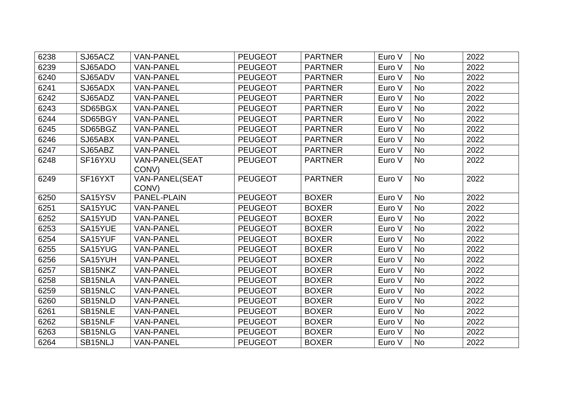| 6238 | SJ65ACZ | <b>VAN-PANEL</b>      | <b>PEUGEOT</b> | <b>PARTNER</b> | Euro V | <b>No</b> | 2022 |
|------|---------|-----------------------|----------------|----------------|--------|-----------|------|
| 6239 | SJ65ADO | <b>VAN-PANEL</b>      | <b>PEUGEOT</b> | <b>PARTNER</b> | Euro V | <b>No</b> | 2022 |
| 6240 | SJ65ADV | <b>VAN-PANEL</b>      | <b>PEUGEOT</b> | <b>PARTNER</b> | Euro V | <b>No</b> | 2022 |
| 6241 | SJ65ADX | <b>VAN-PANEL</b>      | <b>PEUGEOT</b> | <b>PARTNER</b> | Euro V | <b>No</b> | 2022 |
| 6242 | SJ65ADZ | <b>VAN-PANEL</b>      | <b>PEUGEOT</b> | <b>PARTNER</b> | Euro V | <b>No</b> | 2022 |
| 6243 | SD65BGX | <b>VAN-PANEL</b>      | <b>PEUGEOT</b> | <b>PARTNER</b> | Euro V | <b>No</b> | 2022 |
| 6244 | SD65BGY | <b>VAN-PANEL</b>      | <b>PEUGEOT</b> | <b>PARTNER</b> | Euro V | <b>No</b> | 2022 |
| 6245 | SD65BGZ | <b>VAN-PANEL</b>      | <b>PEUGEOT</b> | <b>PARTNER</b> | Euro V | <b>No</b> | 2022 |
| 6246 | SJ65ABX | <b>VAN-PANEL</b>      | <b>PEUGEOT</b> | <b>PARTNER</b> | Euro V | <b>No</b> | 2022 |
| 6247 | SJ65ABZ | <b>VAN-PANEL</b>      | <b>PEUGEOT</b> | <b>PARTNER</b> | Euro V | <b>No</b> | 2022 |
| 6248 | SF16YXU | <b>VAN-PANEL(SEAT</b> | <b>PEUGEOT</b> | <b>PARTNER</b> | Euro V | <b>No</b> | 2022 |
|      |         | CONV)                 |                |                |        |           |      |
| 6249 | SF16YXT | VAN-PANEL(SEAT        | <b>PEUGEOT</b> | <b>PARTNER</b> | Euro V | <b>No</b> | 2022 |
|      |         | CONV)                 |                |                |        |           |      |
| 6250 | SA15YSV | <b>PANEL-PLAIN</b>    | <b>PEUGEOT</b> | <b>BOXER</b>   | Euro V | <b>No</b> | 2022 |
| 6251 | SA15YUC | <b>VAN-PANEL</b>      | <b>PEUGEOT</b> | <b>BOXER</b>   | Euro V | <b>No</b> | 2022 |
| 6252 | SA15YUD | <b>VAN-PANEL</b>      | <b>PEUGEOT</b> | <b>BOXER</b>   | Euro V | <b>No</b> | 2022 |
| 6253 | SA15YUE | <b>VAN-PANEL</b>      | <b>PEUGEOT</b> | <b>BOXER</b>   | Euro V | <b>No</b> | 2022 |
| 6254 | SA15YUF | <b>VAN-PANEL</b>      | <b>PEUGEOT</b> | <b>BOXER</b>   | Euro V | <b>No</b> | 2022 |
| 6255 | SA15YUG | <b>VAN-PANEL</b>      | <b>PEUGEOT</b> | <b>BOXER</b>   | Euro V | <b>No</b> | 2022 |
| 6256 | SA15YUH | <b>VAN-PANEL</b>      | <b>PEUGEOT</b> | <b>BOXER</b>   | Euro V | <b>No</b> | 2022 |
| 6257 | SB15NKZ | <b>VAN-PANEL</b>      | <b>PEUGEOT</b> | <b>BOXER</b>   | Euro V | <b>No</b> | 2022 |
| 6258 | SB15NLA | <b>VAN-PANEL</b>      | <b>PEUGEOT</b> | <b>BOXER</b>   | Euro V | <b>No</b> | 2022 |
| 6259 | SB15NLC | <b>VAN-PANEL</b>      | <b>PEUGEOT</b> | <b>BOXER</b>   | Euro V | <b>No</b> | 2022 |
| 6260 | SB15NLD | <b>VAN-PANEL</b>      | <b>PEUGEOT</b> | <b>BOXER</b>   | Euro V | <b>No</b> | 2022 |
| 6261 | SB15NLE | <b>VAN-PANEL</b>      | <b>PEUGEOT</b> | <b>BOXER</b>   | Euro V | <b>No</b> | 2022 |
| 6262 | SB15NLF | <b>VAN-PANEL</b>      | <b>PEUGEOT</b> | <b>BOXER</b>   | Euro V | <b>No</b> | 2022 |
| 6263 | SB15NLG | <b>VAN-PANEL</b>      | <b>PEUGEOT</b> | <b>BOXER</b>   | Euro V | <b>No</b> | 2022 |
| 6264 | SB15NLJ | <b>VAN-PANEL</b>      | <b>PEUGEOT</b> | <b>BOXER</b>   | Euro V | No        | 2022 |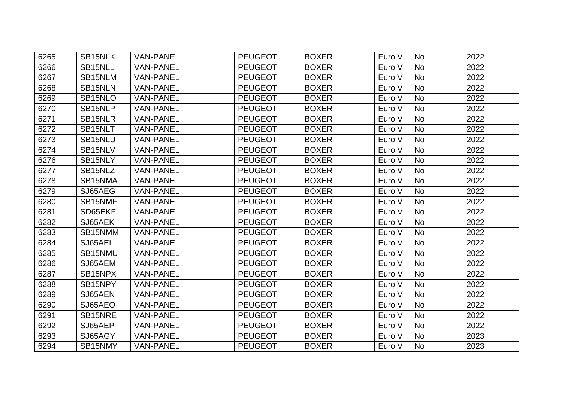| 6265 | SB15NLK | <b>VAN-PANEL</b> | <b>PEUGEOT</b> | <b>BOXER</b> | Euro V | <b>No</b> | 2022 |
|------|---------|------------------|----------------|--------------|--------|-----------|------|
| 6266 | SB15NLL | <b>VAN-PANEL</b> | <b>PEUGEOT</b> | <b>BOXER</b> | Euro V | <b>No</b> | 2022 |
| 6267 | SB15NLM | <b>VAN-PANEL</b> | <b>PEUGEOT</b> | <b>BOXER</b> | Euro V | <b>No</b> | 2022 |
| 6268 | SB15NLN | <b>VAN-PANEL</b> | <b>PEUGEOT</b> | <b>BOXER</b> | Euro V | <b>No</b> | 2022 |
| 6269 | SB15NLO | <b>VAN-PANEL</b> | <b>PEUGEOT</b> | <b>BOXER</b> | Euro V | <b>No</b> | 2022 |
| 6270 | SB15NLP | <b>VAN-PANEL</b> | <b>PEUGEOT</b> | <b>BOXER</b> | Euro V | No        | 2022 |
| 6271 | SB15NLR | <b>VAN-PANEL</b> | <b>PEUGEOT</b> | <b>BOXER</b> | Euro V | <b>No</b> | 2022 |
| 6272 | SB15NLT | <b>VAN-PANEL</b> | <b>PEUGEOT</b> | <b>BOXER</b> | Euro V | <b>No</b> | 2022 |
| 6273 | SB15NLU | <b>VAN-PANEL</b> | <b>PEUGEOT</b> | <b>BOXER</b> | Euro V | <b>No</b> | 2022 |
| 6274 | SB15NLV | <b>VAN-PANEL</b> | <b>PEUGEOT</b> | <b>BOXER</b> | Euro V | <b>No</b> | 2022 |
| 6276 | SB15NLY | <b>VAN-PANEL</b> | <b>PEUGEOT</b> | <b>BOXER</b> | Euro V | <b>No</b> | 2022 |
| 6277 | SB15NLZ | <b>VAN-PANEL</b> | <b>PEUGEOT</b> | <b>BOXER</b> | Euro V | <b>No</b> | 2022 |
| 6278 | SB15NMA | <b>VAN-PANEL</b> | <b>PEUGEOT</b> | <b>BOXER</b> | Euro V | <b>No</b> | 2022 |
| 6279 | SJ65AEG | <b>VAN-PANEL</b> | <b>PEUGEOT</b> | <b>BOXER</b> | Euro V | <b>No</b> | 2022 |
| 6280 | SB15NMF | <b>VAN-PANEL</b> | <b>PEUGEOT</b> | <b>BOXER</b> | Euro V | <b>No</b> | 2022 |
| 6281 | SD65EKF | <b>VAN-PANEL</b> | <b>PEUGEOT</b> | <b>BOXER</b> | Euro V | <b>No</b> | 2022 |
| 6282 | SJ65AEK | <b>VAN-PANEL</b> | <b>PEUGEOT</b> | <b>BOXER</b> | Euro V | <b>No</b> | 2022 |
| 6283 | SB15NMM | <b>VAN-PANEL</b> | <b>PEUGEOT</b> | <b>BOXER</b> | Euro V | <b>No</b> | 2022 |
| 6284 | SJ65AEL | <b>VAN-PANEL</b> | <b>PEUGEOT</b> | <b>BOXER</b> | Euro V | <b>No</b> | 2022 |
| 6285 | SB15NMU | <b>VAN-PANEL</b> | <b>PEUGEOT</b> | <b>BOXER</b> | Euro V | <b>No</b> | 2022 |
| 6286 | SJ65AEM | <b>VAN-PANEL</b> | <b>PEUGEOT</b> | <b>BOXER</b> | Euro V | <b>No</b> | 2022 |
| 6287 | SB15NPX | <b>VAN-PANEL</b> | <b>PEUGEOT</b> | <b>BOXER</b> | Euro V | <b>No</b> | 2022 |
| 6288 | SB15NPY | <b>VAN-PANEL</b> | <b>PEUGEOT</b> | <b>BOXER</b> | Euro V | <b>No</b> | 2022 |
| 6289 | SJ65AEN | <b>VAN-PANEL</b> | <b>PEUGEOT</b> | <b>BOXER</b> | Euro V | <b>No</b> | 2022 |
| 6290 | SJ65AEO | <b>VAN-PANEL</b> | <b>PEUGEOT</b> | <b>BOXER</b> | Euro V | <b>No</b> | 2022 |
| 6291 | SB15NRE | <b>VAN-PANEL</b> | <b>PEUGEOT</b> | <b>BOXER</b> | Euro V | <b>No</b> | 2022 |
| 6292 | SJ65AEP | <b>VAN-PANEL</b> | <b>PEUGEOT</b> | <b>BOXER</b> | Euro V | <b>No</b> | 2022 |
| 6293 | SJ65AGY | <b>VAN-PANEL</b> | <b>PEUGEOT</b> | <b>BOXER</b> | Euro V | <b>No</b> | 2023 |
| 6294 | SB15NMY | <b>VAN-PANEL</b> | <b>PEUGEOT</b> | <b>BOXER</b> | Euro V | <b>No</b> | 2023 |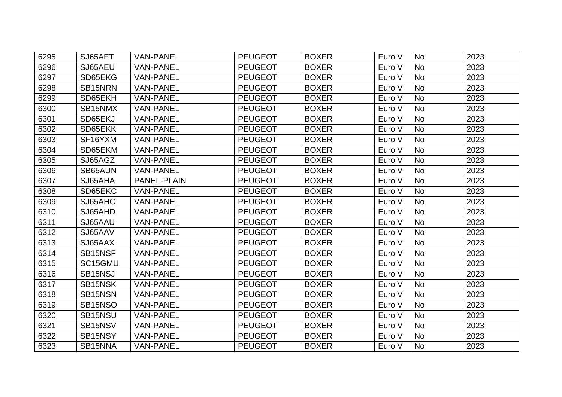| 6295 | SJ65AET | <b>VAN-PANEL</b>   | <b>PEUGEOT</b> | <b>BOXER</b> | Euro V | <b>No</b> | 2023 |
|------|---------|--------------------|----------------|--------------|--------|-----------|------|
| 6296 | SJ65AEU | <b>VAN-PANEL</b>   | <b>PEUGEOT</b> | <b>BOXER</b> | Euro V | <b>No</b> | 2023 |
| 6297 | SD65EKG | <b>VAN-PANEL</b>   | <b>PEUGEOT</b> | <b>BOXER</b> | Euro V | <b>No</b> | 2023 |
| 6298 | SB15NRN | <b>VAN-PANEL</b>   | <b>PEUGEOT</b> | <b>BOXER</b> | Euro V | <b>No</b> | 2023 |
| 6299 | SD65EKH | <b>VAN-PANEL</b>   | <b>PEUGEOT</b> | <b>BOXER</b> | Euro V | <b>No</b> | 2023 |
| 6300 | SB15NMX | <b>VAN-PANEL</b>   | <b>PEUGEOT</b> | <b>BOXER</b> | Euro V | <b>No</b> | 2023 |
| 6301 | SD65EKJ | <b>VAN-PANEL</b>   | <b>PEUGEOT</b> | <b>BOXER</b> | Euro V | <b>No</b> | 2023 |
| 6302 | SD65EKK | <b>VAN-PANEL</b>   | <b>PEUGEOT</b> | <b>BOXER</b> | Euro V | <b>No</b> | 2023 |
| 6303 | SF16YXM | <b>VAN-PANEL</b>   | <b>PEUGEOT</b> | <b>BOXER</b> | Euro V | <b>No</b> | 2023 |
| 6304 | SD65EKM | <b>VAN-PANEL</b>   | <b>PEUGEOT</b> | <b>BOXER</b> | Euro V | <b>No</b> | 2023 |
| 6305 | SJ65AGZ | <b>VAN-PANEL</b>   | <b>PEUGEOT</b> | <b>BOXER</b> | Euro V | <b>No</b> | 2023 |
| 6306 | SB65AUN | <b>VAN-PANEL</b>   | <b>PEUGEOT</b> | <b>BOXER</b> | Euro V | <b>No</b> | 2023 |
| 6307 | SJ65AHA | <b>PANEL-PLAIN</b> | <b>PEUGEOT</b> | <b>BOXER</b> | Euro V | <b>No</b> | 2023 |
| 6308 | SD65EKC | <b>VAN-PANEL</b>   | <b>PEUGEOT</b> | <b>BOXER</b> | Euro V | <b>No</b> | 2023 |
| 6309 | SJ65AHC | <b>VAN-PANEL</b>   | <b>PEUGEOT</b> | <b>BOXER</b> | Euro V | <b>No</b> | 2023 |
| 6310 | SJ65AHD | <b>VAN-PANEL</b>   | <b>PEUGEOT</b> | <b>BOXER</b> | Euro V | <b>No</b> | 2023 |
| 6311 | SJ65AAU | <b>VAN-PANEL</b>   | <b>PEUGEOT</b> | <b>BOXER</b> | Euro V | <b>No</b> | 2023 |
| 6312 | SJ65AAV | <b>VAN-PANEL</b>   | <b>PEUGEOT</b> | <b>BOXER</b> | Euro V | <b>No</b> | 2023 |
| 6313 | SJ65AAX | <b>VAN-PANEL</b>   | <b>PEUGEOT</b> | <b>BOXER</b> | Euro V | <b>No</b> | 2023 |
| 6314 | SB15NSF | <b>VAN-PANEL</b>   | <b>PEUGEOT</b> | <b>BOXER</b> | Euro V | <b>No</b> | 2023 |
| 6315 | SC15GMU | <b>VAN-PANEL</b>   | <b>PEUGEOT</b> | <b>BOXER</b> | Euro V | <b>No</b> | 2023 |
| 6316 | SB15NSJ | <b>VAN-PANEL</b>   | <b>PEUGEOT</b> | <b>BOXER</b> | Euro V | <b>No</b> | 2023 |
| 6317 | SB15NSK | <b>VAN-PANEL</b>   | <b>PEUGEOT</b> | <b>BOXER</b> | Euro V | <b>No</b> | 2023 |
| 6318 | SB15NSN | <b>VAN-PANEL</b>   | <b>PEUGEOT</b> | <b>BOXER</b> | Euro V | <b>No</b> | 2023 |
| 6319 | SB15NSO | <b>VAN-PANEL</b>   | <b>PEUGEOT</b> | <b>BOXER</b> | Euro V | <b>No</b> | 2023 |
| 6320 | SB15NSU | <b>VAN-PANEL</b>   | <b>PEUGEOT</b> | <b>BOXER</b> | Euro V | <b>No</b> | 2023 |
| 6321 | SB15NSV | <b>VAN-PANEL</b>   | <b>PEUGEOT</b> | <b>BOXER</b> | Euro V | <b>No</b> | 2023 |
| 6322 | SB15NSY | <b>VAN-PANEL</b>   | <b>PEUGEOT</b> | <b>BOXER</b> | Euro V | <b>No</b> | 2023 |
| 6323 | SB15NNA | <b>VAN-PANEL</b>   | <b>PEUGEOT</b> | <b>BOXER</b> | Euro V | <b>No</b> | 2023 |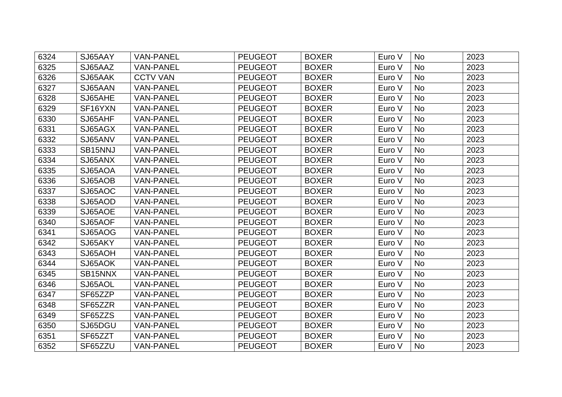| 6324 | SJ65AAY | <b>VAN-PANEL</b> | <b>PEUGEOT</b> | <b>BOXER</b> | Euro V | <b>No</b> | 2023 |
|------|---------|------------------|----------------|--------------|--------|-----------|------|
| 6325 | SJ65AAZ | <b>VAN-PANEL</b> | <b>PEUGEOT</b> | <b>BOXER</b> | Euro V | <b>No</b> | 2023 |
| 6326 | SJ65AAK | <b>CCTV VAN</b>  | <b>PEUGEOT</b> | <b>BOXER</b> | Euro V | <b>No</b> | 2023 |
| 6327 | SJ65AAN | <b>VAN-PANEL</b> | <b>PEUGEOT</b> | <b>BOXER</b> | Euro V | <b>No</b> | 2023 |
| 6328 | SJ65AHE | <b>VAN-PANEL</b> | <b>PEUGEOT</b> | <b>BOXER</b> | Euro V | <b>No</b> | 2023 |
| 6329 | SF16YXN | <b>VAN-PANEL</b> | <b>PEUGEOT</b> | <b>BOXER</b> | Euro V | <b>No</b> | 2023 |
| 6330 | SJ65AHF | <b>VAN-PANEL</b> | <b>PEUGEOT</b> | <b>BOXER</b> | Euro V | <b>No</b> | 2023 |
| 6331 | SJ65AGX | <b>VAN-PANEL</b> | <b>PEUGEOT</b> | <b>BOXER</b> | Euro V | <b>No</b> | 2023 |
| 6332 | SJ65ANV | <b>VAN-PANEL</b> | <b>PEUGEOT</b> | <b>BOXER</b> | Euro V | <b>No</b> | 2023 |
| 6333 | SB15NNJ | <b>VAN-PANEL</b> | <b>PEUGEOT</b> | <b>BOXER</b> | Euro V | <b>No</b> | 2023 |
| 6334 | SJ65ANX | <b>VAN-PANEL</b> | <b>PEUGEOT</b> | <b>BOXER</b> | Euro V | <b>No</b> | 2023 |
| 6335 | SJ65AOA | <b>VAN-PANEL</b> | <b>PEUGEOT</b> | <b>BOXER</b> | Euro V | <b>No</b> | 2023 |
| 6336 | SJ65AOB | <b>VAN-PANEL</b> | <b>PEUGEOT</b> | <b>BOXER</b> | Euro V | <b>No</b> | 2023 |
| 6337 | SJ65AOC | <b>VAN-PANEL</b> | <b>PEUGEOT</b> | <b>BOXER</b> | Euro V | <b>No</b> | 2023 |
| 6338 | SJ65AOD | <b>VAN-PANEL</b> | <b>PEUGEOT</b> | <b>BOXER</b> | Euro V | <b>No</b> | 2023 |
| 6339 | SJ65AOE | <b>VAN-PANEL</b> | <b>PEUGEOT</b> | <b>BOXER</b> | Euro V | <b>No</b> | 2023 |
| 6340 | SJ65AOF | <b>VAN-PANEL</b> | <b>PEUGEOT</b> | <b>BOXER</b> | Euro V | <b>No</b> | 2023 |
| 6341 | SJ65AOG | <b>VAN-PANEL</b> | <b>PEUGEOT</b> | <b>BOXER</b> | Euro V | <b>No</b> | 2023 |
| 6342 | SJ65AKY | <b>VAN-PANEL</b> | <b>PEUGEOT</b> | <b>BOXER</b> | Euro V | <b>No</b> | 2023 |
| 6343 | SJ65AOH | <b>VAN-PANEL</b> | <b>PEUGEOT</b> | <b>BOXER</b> | Euro V | <b>No</b> | 2023 |
| 6344 | SJ65AOK | <b>VAN-PANEL</b> | <b>PEUGEOT</b> | <b>BOXER</b> | Euro V | <b>No</b> | 2023 |
| 6345 | SB15NNX | <b>VAN-PANEL</b> | <b>PEUGEOT</b> | <b>BOXER</b> | Euro V | <b>No</b> | 2023 |
| 6346 | SJ65AOL | <b>VAN-PANEL</b> | <b>PEUGEOT</b> | <b>BOXER</b> | Euro V | <b>No</b> | 2023 |
| 6347 | SF65ZZP | <b>VAN-PANEL</b> | <b>PEUGEOT</b> | <b>BOXER</b> | Euro V | <b>No</b> | 2023 |
| 6348 | SF65ZZR | <b>VAN-PANEL</b> | <b>PEUGEOT</b> | <b>BOXER</b> | Euro V | <b>No</b> | 2023 |
| 6349 | SF65ZZS | <b>VAN-PANEL</b> | <b>PEUGEOT</b> | <b>BOXER</b> | Euro V | <b>No</b> | 2023 |
| 6350 | SJ65DGU | <b>VAN-PANEL</b> | <b>PEUGEOT</b> | <b>BOXER</b> | Euro V | <b>No</b> | 2023 |
| 6351 | SF65ZZT | <b>VAN-PANEL</b> | <b>PEUGEOT</b> | <b>BOXER</b> | Euro V | <b>No</b> | 2023 |
| 6352 | SF65ZZU | <b>VAN-PANEL</b> | <b>PEUGEOT</b> | <b>BOXER</b> | Euro V | <b>No</b> | 2023 |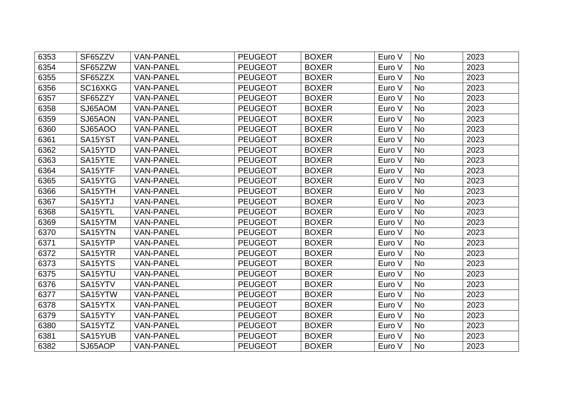| 6353 | SF65ZZV              | <b>VAN-PANEL</b> | <b>PEUGEOT</b> | <b>BOXER</b> | Euro V | <b>No</b> | 2023 |
|------|----------------------|------------------|----------------|--------------|--------|-----------|------|
| 6354 | SF65ZZW              | <b>VAN-PANEL</b> | <b>PEUGEOT</b> | <b>BOXER</b> | Euro V | <b>No</b> | 2023 |
| 6355 | SF65ZZX              | <b>VAN-PANEL</b> | <b>PEUGEOT</b> | <b>BOXER</b> | Euro V | <b>No</b> | 2023 |
| 6356 | SC16XKG              | <b>VAN-PANEL</b> | <b>PEUGEOT</b> | <b>BOXER</b> | Euro V | <b>No</b> | 2023 |
| 6357 | SF65ZZY              | <b>VAN-PANEL</b> | <b>PEUGEOT</b> | <b>BOXER</b> | Euro V | <b>No</b> | 2023 |
| 6358 | SJ65AOM              | <b>VAN-PANEL</b> | <b>PEUGEOT</b> | <b>BOXER</b> | Euro V | No        | 2023 |
| 6359 | SJ65AON              | <b>VAN-PANEL</b> | <b>PEUGEOT</b> | <b>BOXER</b> | Euro V | <b>No</b> | 2023 |
| 6360 | <b>SJ65AOO</b>       | <b>VAN-PANEL</b> | <b>PEUGEOT</b> | <b>BOXER</b> | Euro V | <b>No</b> | 2023 |
| 6361 | SA <sub>15</sub> YST | <b>VAN-PANEL</b> | <b>PEUGEOT</b> | <b>BOXER</b> | Euro V | <b>No</b> | 2023 |
| 6362 | SA15YTD              | <b>VAN-PANEL</b> | <b>PEUGEOT</b> | <b>BOXER</b> | Euro V | <b>No</b> | 2023 |
| 6363 | SA15YTE              | <b>VAN-PANEL</b> | <b>PEUGEOT</b> | <b>BOXER</b> | Euro V | No        | 2023 |
| 6364 | SA15YTF              | <b>VAN-PANEL</b> | <b>PEUGEOT</b> | <b>BOXER</b> | Euro V | <b>No</b> | 2023 |
| 6365 | SA <sub>15</sub> YTG | <b>VAN-PANEL</b> | <b>PEUGEOT</b> | <b>BOXER</b> | Euro V | <b>No</b> | 2023 |
| 6366 | SA15YTH              | <b>VAN-PANEL</b> | <b>PEUGEOT</b> | <b>BOXER</b> | Euro V | <b>No</b> | 2023 |
| 6367 | SA <sub>15</sub> YTJ | <b>VAN-PANEL</b> | <b>PEUGEOT</b> | <b>BOXER</b> | Euro V | <b>No</b> | 2023 |
| 6368 | SA <sub>15</sub> YTL | <b>VAN-PANEL</b> | <b>PEUGEOT</b> | <b>BOXER</b> | Euro V | <b>No</b> | 2023 |
| 6369 | SA15YTM              | <b>VAN-PANEL</b> | <b>PEUGEOT</b> | <b>BOXER</b> | Euro V | <b>No</b> | 2023 |
| 6370 | SA15YTN              | <b>VAN-PANEL</b> | <b>PEUGEOT</b> | <b>BOXER</b> | Euro V | <b>No</b> | 2023 |
| 6371 | SA15YTP              | <b>VAN-PANEL</b> | <b>PEUGEOT</b> | <b>BOXER</b> | Euro V | <b>No</b> | 2023 |
| 6372 | SA15YTR              | <b>VAN-PANEL</b> | <b>PEUGEOT</b> | <b>BOXER</b> | Euro V | <b>No</b> | 2023 |
| 6373 | SA <sub>15</sub> YTS | <b>VAN-PANEL</b> | <b>PEUGEOT</b> | <b>BOXER</b> | Euro V | <b>No</b> | 2023 |
| 6375 | SA15YTU              | <b>VAN-PANEL</b> | <b>PEUGEOT</b> | <b>BOXER</b> | Euro V | <b>No</b> | 2023 |
| 6376 | SA15YTV              | <b>VAN-PANEL</b> | <b>PEUGEOT</b> | <b>BOXER</b> | Euro V | <b>No</b> | 2023 |
| 6377 | SA15YTW              | <b>VAN-PANEL</b> | <b>PEUGEOT</b> | <b>BOXER</b> | Euro V | <b>No</b> | 2023 |
| 6378 | SA15YTX              | <b>VAN-PANEL</b> | <b>PEUGEOT</b> | <b>BOXER</b> | Euro V | <b>No</b> | 2023 |
| 6379 | SA15YTY              | <b>VAN-PANEL</b> | <b>PEUGEOT</b> | <b>BOXER</b> | Euro V | <b>No</b> | 2023 |
| 6380 | SA <sub>15</sub> YTZ | <b>VAN-PANEL</b> | <b>PEUGEOT</b> | <b>BOXER</b> | Euro V | <b>No</b> | 2023 |
| 6381 | SA15YUB              | <b>VAN-PANEL</b> | <b>PEUGEOT</b> | <b>BOXER</b> | Euro V | <b>No</b> | 2023 |
| 6382 | SJ65AOP              | <b>VAN-PANEL</b> | <b>PEUGEOT</b> | <b>BOXER</b> | Euro V | <b>No</b> | 2023 |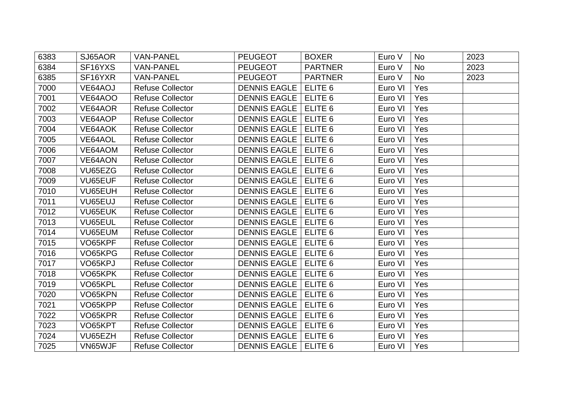| 6383 | SJ65AOR                          | <b>VAN-PANEL</b>        | <b>PEUGEOT</b>      | <b>BOXER</b>       | Euro V  | No        | 2023 |
|------|----------------------------------|-------------------------|---------------------|--------------------|---------|-----------|------|
| 6384 | SF <sub>16</sub> Y <sub>XS</sub> | <b>VAN-PANEL</b>        | <b>PEUGEOT</b>      | <b>PARTNER</b>     | Euro V  | <b>No</b> | 2023 |
| 6385 | SF16YXR                          | <b>VAN-PANEL</b>        | <b>PEUGEOT</b>      | <b>PARTNER</b>     | Euro V  | <b>No</b> | 2023 |
| 7000 | VE64AOJ                          | <b>Refuse Collector</b> | <b>DENNIS EAGLE</b> | ELITE <sub>6</sub> | Euro VI | Yes       |      |
| 7001 | VE64AOO                          | <b>Refuse Collector</b> | <b>DENNIS EAGLE</b> | ELITE <sub>6</sub> | Euro VI | Yes       |      |
| 7002 | VE64AOR                          | <b>Refuse Collector</b> | <b>DENNIS EAGLE</b> | ELITE <sub>6</sub> | Euro VI | Yes       |      |
| 7003 | VE64AOP                          | <b>Refuse Collector</b> | <b>DENNIS EAGLE</b> | ELITE <sub>6</sub> | Euro VI | Yes       |      |
| 7004 | VE64AOK                          | <b>Refuse Collector</b> | <b>DENNIS EAGLE</b> | ELITE <sub>6</sub> | Euro VI | Yes       |      |
| 7005 | VE64AOL                          | <b>Refuse Collector</b> | <b>DENNIS EAGLE</b> | ELITE <sub>6</sub> | Euro VI | Yes       |      |
| 7006 | VE64AOM                          | <b>Refuse Collector</b> | <b>DENNIS EAGLE</b> | ELITE <sub>6</sub> | Euro VI | Yes       |      |
| 7007 | VE64AON                          | <b>Refuse Collector</b> | <b>DENNIS EAGLE</b> | ELITE <sub>6</sub> | Euro VI | Yes       |      |
| 7008 | VU65EZG                          | <b>Refuse Collector</b> | <b>DENNIS EAGLE</b> | ELITE <sub>6</sub> | Euro VI | Yes       |      |
| 7009 | VU65EUF                          | <b>Refuse Collector</b> | <b>DENNIS EAGLE</b> | ELITE <sub>6</sub> | Euro VI | Yes       |      |
| 7010 | VU65EUH                          | <b>Refuse Collector</b> | <b>DENNIS EAGLE</b> | ELITE <sub>6</sub> | Euro VI | Yes       |      |
| 7011 | VU65EUJ                          | <b>Refuse Collector</b> | <b>DENNIS EAGLE</b> | ELITE <sub>6</sub> | Euro VI | Yes       |      |
| 7012 | VU65EUK                          | <b>Refuse Collector</b> | <b>DENNIS EAGLE</b> | ELITE <sub>6</sub> | Euro VI | Yes       |      |
| 7013 | VU65EUL                          | <b>Refuse Collector</b> | <b>DENNIS EAGLE</b> | ELITE <sub>6</sub> | Euro VI | Yes       |      |
| 7014 | VU65EUM                          | <b>Refuse Collector</b> | <b>DENNIS EAGLE</b> | ELITE <sub>6</sub> | Euro VI | Yes       |      |
| 7015 | VO65KPF                          | <b>Refuse Collector</b> | <b>DENNIS EAGLE</b> | ELITE <sub>6</sub> | Euro VI | Yes       |      |
| 7016 | VO65KPG                          | <b>Refuse Collector</b> | <b>DENNIS EAGLE</b> | ELITE <sub>6</sub> | Euro VI | Yes       |      |
| 7017 | VO65KPJ                          | <b>Refuse Collector</b> | <b>DENNIS EAGLE</b> | ELITE <sub>6</sub> | Euro VI | Yes       |      |
| 7018 | VO65KPK                          | <b>Refuse Collector</b> | <b>DENNIS EAGLE</b> | ELITE <sub>6</sub> | Euro VI | Yes       |      |
| 7019 | VO65KPL                          | <b>Refuse Collector</b> | <b>DENNIS EAGLE</b> | ELITE <sub>6</sub> | Euro VI | Yes       |      |
| 7020 | VO65KPN                          | <b>Refuse Collector</b> | <b>DENNIS EAGLE</b> | ELITE <sub>6</sub> | Euro VI | Yes       |      |
| 7021 | VO65KPP                          | <b>Refuse Collector</b> | <b>DENNIS EAGLE</b> | ELITE <sub>6</sub> | Euro VI | Yes       |      |
| 7022 | VO65KPR                          | <b>Refuse Collector</b> | <b>DENNIS EAGLE</b> | ELITE <sub>6</sub> | Euro VI | Yes       |      |
| 7023 | VO65KPT                          | <b>Refuse Collector</b> | <b>DENNIS EAGLE</b> | ELITE <sub>6</sub> | Euro VI | Yes       |      |
| 7024 | VU65EZH                          | <b>Refuse Collector</b> | <b>DENNIS EAGLE</b> | ELITE <sub>6</sub> | Euro VI | Yes       |      |
| 7025 | VN65WJF                          | <b>Refuse Collector</b> | <b>DENNIS EAGLE</b> | ELITE <sub>6</sub> | Euro VI | Yes       |      |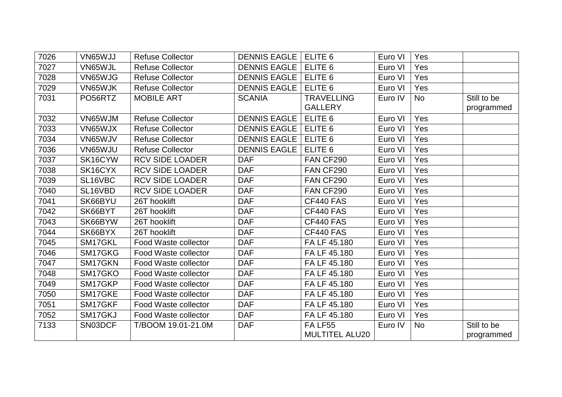| 7026 | VN65WJJ              | <b>Refuse Collector</b> | <b>DENNIS EAGLE</b> | ELITE <sub>6</sub>    | Euro VI | Yes       |             |
|------|----------------------|-------------------------|---------------------|-----------------------|---------|-----------|-------------|
| 7027 | VN65WJL              | <b>Refuse Collector</b> | <b>DENNIS EAGLE</b> | ELITE <sub>6</sub>    | Euro VI | Yes       |             |
| 7028 | VN65WJG              | <b>Refuse Collector</b> | <b>DENNIS EAGLE</b> | ELITE <sub>6</sub>    | Euro VI | Yes       |             |
| 7029 | VN65WJK              | <b>Refuse Collector</b> | <b>DENNIS EAGLE</b> | ELITE <sub>6</sub>    | Euro VI | Yes       |             |
| 7031 | PO56RTZ              | <b>MOBILE ART</b>       | <b>SCANIA</b>       | <b>TRAVELLING</b>     | Euro IV | <b>No</b> | Still to be |
|      |                      |                         |                     | <b>GALLERY</b>        |         |           | programmed  |
| 7032 | VN65WJM              | <b>Refuse Collector</b> | <b>DENNIS EAGLE</b> | ELITE <sub>6</sub>    | Euro VI | Yes       |             |
| 7033 | VN65WJX              | <b>Refuse Collector</b> | <b>DENNIS EAGLE</b> | ELITE <sub>6</sub>    | Euro VI | Yes       |             |
| 7034 | VN65WJV              | <b>Refuse Collector</b> | <b>DENNIS EAGLE</b> | ELITE <sub>6</sub>    | Euro VI | Yes       |             |
| 7036 | VN65WJU              | <b>Refuse Collector</b> | <b>DENNIS EAGLE</b> | ELITE <sub>6</sub>    | Euro VI | Yes       |             |
| 7037 | SK16CYW              | <b>RCV SIDE LOADER</b>  | <b>DAF</b>          | FAN CF290             | Euro VI | Yes       |             |
| 7038 | SK16CYX              | <b>RCV SIDE LOADER</b>  | <b>DAF</b>          | FAN CF290             | Euro VI | Yes       |             |
| 7039 | SL <sub>16</sub> VBC | <b>RCV SIDE LOADER</b>  | <b>DAF</b>          | FAN CF290             | Euro VI | Yes       |             |
| 7040 | SL16VBD              | <b>RCV SIDE LOADER</b>  | <b>DAF</b>          | FAN CF290             | Euro VI | Yes       |             |
| 7041 | SK66BYU              | 26T hooklift            | <b>DAF</b>          | CF440 FAS             | Euro VI | Yes       |             |
| 7042 | SK66BYT              | 26T hooklift            | <b>DAF</b>          | CF440 FAS             | Euro VI | Yes       |             |
| 7043 | SK66BYW              | 26T hooklift            | <b>DAF</b>          | CF440 FAS             | Euro VI | Yes       |             |
| 7044 | SK66BYX              | 26T hooklift            | <b>DAF</b>          | CF440 FAS             | Euro VI | Yes       |             |
| 7045 | SM17GKL              | Food Waste collector    | <b>DAF</b>          | FA LF 45.180          | Euro VI | Yes       |             |
| 7046 | SM17GKG              | Food Waste collector    | <b>DAF</b>          | FA LF 45.180          | Euro VI | Yes       |             |
| 7047 | SM17GKN              | Food Waste collector    | <b>DAF</b>          | FA LF 45.180          | Euro VI | Yes       |             |
| 7048 | SM17GKO              | Food Waste collector    | <b>DAF</b>          | FA LF 45.180          | Euro VI | Yes       |             |
| 7049 | SM17GKP              | Food Waste collector    | <b>DAF</b>          | FA LF 45.180          | Euro VI | Yes       |             |
| 7050 | SM17GKE              | Food Waste collector    | <b>DAF</b>          | FA LF 45.180          | Euro VI | Yes       |             |
| 7051 | SM17GKF              | Food Waste collector    | <b>DAF</b>          | FA LF 45.180          | Euro VI | Yes       |             |
| 7052 | SM17GKJ              | Food Waste collector    | <b>DAF</b>          | FA LF 45.180          | Euro VI | Yes       |             |
| 7133 | SN03DCF              | T/BOOM 19.01-21.0M      | <b>DAF</b>          | FA LF55               | Euro IV | <b>No</b> | Still to be |
|      |                      |                         |                     | <b>MULTITEL ALU20</b> |         |           | programmed  |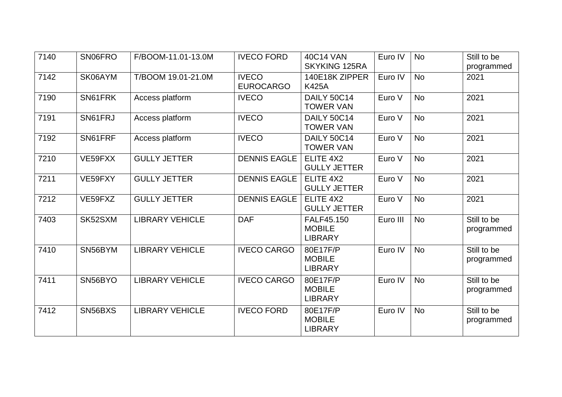| 7140 | SN06FRO | F/BOOM-11.01-13.0M     | <b>IVECO FORD</b>                | 40C14 VAN<br>SKYKING 125RA                    | Euro IV  | <b>No</b> | Still to be<br>programmed |
|------|---------|------------------------|----------------------------------|-----------------------------------------------|----------|-----------|---------------------------|
| 7142 | SK06AYM | T/BOOM 19.01-21.0M     | <b>IVECO</b><br><b>EUROCARGO</b> | 140E18K ZIPPER<br><b>K425A</b>                | Euro IV  | <b>No</b> | 2021                      |
| 7190 | SN61FRK | Access platform        | <b>IVECO</b>                     | <b>DAILY 50C14</b><br><b>TOWER VAN</b>        | Euro V   | <b>No</b> | 2021                      |
| 7191 | SN61FRJ | Access platform        | <b>IVECO</b>                     | <b>DAILY 50C14</b><br><b>TOWER VAN</b>        | Euro V   | <b>No</b> | 2021                      |
| 7192 | SN61FRF | Access platform        | <b>IVECO</b>                     | <b>DAILY 50C14</b><br><b>TOWER VAN</b>        | Euro V   | <b>No</b> | 2021                      |
| 7210 | VE59FXX | <b>GULLY JETTER</b>    | <b>DENNIS EAGLE</b>              | ELITE 4X2<br><b>GULLY JETTER</b>              | Euro V   | <b>No</b> | 2021                      |
| 7211 | VE59FXY | <b>GULLY JETTER</b>    | <b>DENNIS EAGLE</b>              | ELITE 4X2<br><b>GULLY JETTER</b>              | Euro V   | <b>No</b> | 2021                      |
| 7212 | VE59FXZ | <b>GULLY JETTER</b>    | <b>DENNIS EAGLE</b>              | ELITE 4X2<br><b>GULLY JETTER</b>              | Euro V   | <b>No</b> | 2021                      |
| 7403 | SK52SXM | <b>LIBRARY VEHICLE</b> | <b>DAF</b>                       | FALF45.150<br><b>MOBILE</b><br><b>LIBRARY</b> | Euro III | <b>No</b> | Still to be<br>programmed |
| 7410 | SN56BYM | <b>LIBRARY VEHICLE</b> | <b>IVECO CARGO</b>               | 80E17F/P<br><b>MOBILE</b><br><b>LIBRARY</b>   | Euro IV  | <b>No</b> | Still to be<br>programmed |
| 7411 | SN56BYO | <b>LIBRARY VEHICLE</b> | <b>IVECO CARGO</b>               | 80E17F/P<br><b>MOBILE</b><br><b>LIBRARY</b>   | Euro IV  | <b>No</b> | Still to be<br>programmed |
| 7412 | SN56BXS | <b>LIBRARY VEHICLE</b> | <b>IVECO FORD</b>                | 80E17F/P<br><b>MOBILE</b><br><b>LIBRARY</b>   | Euro IV  | <b>No</b> | Still to be<br>programmed |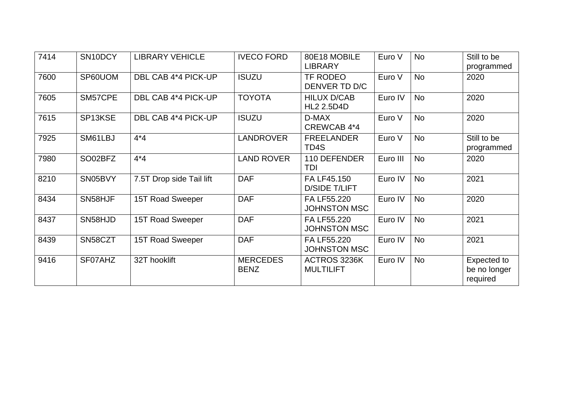| 7414 | SN <sub>10</sub> DCY | <b>LIBRARY VEHICLE</b>   | <b>IVECO FORD</b>              | 80E18 MOBILE<br><b>LIBRARY</b>          | Euro V   | No        | Still to be<br>programmed               |
|------|----------------------|--------------------------|--------------------------------|-----------------------------------------|----------|-----------|-----------------------------------------|
| 7600 | SP60UOM              | DBL CAB 4*4 PICK-UP      | <b>ISUZU</b>                   | <b>TF RODEO</b><br>DENVER TD D/C        | Euro V   | <b>No</b> | 2020                                    |
| 7605 | SM57CPE              | DBL CAB 4*4 PICK-UP      | <b>TOYOTA</b>                  | <b>HILUX D/CAB</b><br><b>HL2 2.5D4D</b> | Euro IV  | <b>No</b> | 2020                                    |
| 7615 | SP13KSE              | DBL CAB 4*4 PICK-UP      | <b>ISUZU</b>                   | D-MAX<br>CREWCAB 4*4                    | Euro V   | <b>No</b> | 2020                                    |
| 7925 | SM61LBJ              | $4*4$                    | <b>LANDROVER</b>               | <b>FREELANDER</b><br>TD4S               | Euro V   | No        | Still to be<br>programmed               |
| 7980 | SO02BFZ              | $4*4$                    | <b>LAND ROVER</b>              | 110 DEFENDER<br>TDI                     | Euro III | <b>No</b> | 2020                                    |
| 8210 | SN05BVY              | 7.5T Drop side Tail lift | <b>DAF</b>                     | FA LF45.150<br><b>D/SIDE T/LIFT</b>     | Euro IV  | <b>No</b> | 2021                                    |
| 8434 | SN58HJF              | 15T Road Sweeper         | <b>DAF</b>                     | FA LF55.220<br><b>JOHNSTON MSC</b>      | Euro IV  | <b>No</b> | 2020                                    |
| 8437 | SN58HJD              | 15T Road Sweeper         | <b>DAF</b>                     | FA LF55.220<br><b>JOHNSTON MSC</b>      | Euro IV  | <b>No</b> | 2021                                    |
| 8439 | SN58CZT              | 15T Road Sweeper         | <b>DAF</b>                     | FA LF55.220<br><b>JOHNSTON MSC</b>      | Euro IV  | <b>No</b> | 2021                                    |
| 9416 | SF07AHZ              | 32T hooklift             | <b>MERCEDES</b><br><b>BENZ</b> | ACTROS 3236K<br><b>MULTILIFT</b>        | Euro IV  | No        | Expected to<br>be no longer<br>required |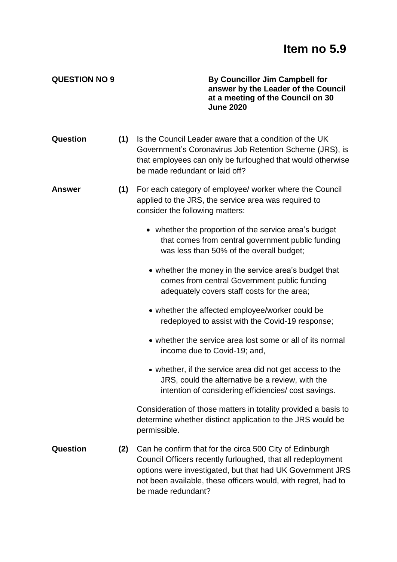**QUESTION NO 9 By Councillor Jim Campbell for answer by the Leader of the Council at a meeting of the Council on 30 June 2020**

| Question      | (1) | Is the Council Leader aware that a condition of the UK<br>Government's Coronavirus Job Retention Scheme (JRS), is<br>that employees can only be furloughed that would otherwise<br>be made redundant or laid off?                                                          |
|---------------|-----|----------------------------------------------------------------------------------------------------------------------------------------------------------------------------------------------------------------------------------------------------------------------------|
| <b>Answer</b> | (1) | For each category of employee/ worker where the Council<br>applied to the JRS, the service area was required to<br>consider the following matters:                                                                                                                         |
|               |     | • whether the proportion of the service area's budget<br>that comes from central government public funding<br>was less than 50% of the overall budget;                                                                                                                     |
|               |     | • whether the money in the service area's budget that<br>comes from central Government public funding<br>adequately covers staff costs for the area;                                                                                                                       |
|               |     | • whether the affected employee/worker could be<br>redeployed to assist with the Covid-19 response;                                                                                                                                                                        |
|               |     | • whether the service area lost some or all of its normal<br>income due to Covid-19; and,                                                                                                                                                                                  |
|               |     | • whether, if the service area did not get access to the<br>JRS, could the alternative be a review, with the<br>intention of considering efficiencies/ cost savings.                                                                                                       |
|               |     | Consideration of those matters in totality provided a basis to<br>determine whether distinct application to the JRS would be<br>permissible.                                                                                                                               |
| Question      | (2) | Can he confirm that for the circa 500 City of Edinburgh<br>Council Officers recently furloughed, that all redeployment<br>options were investigated, but that had UK Government JRS<br>not been available, these officers would, with regret, had to<br>be made redundant? |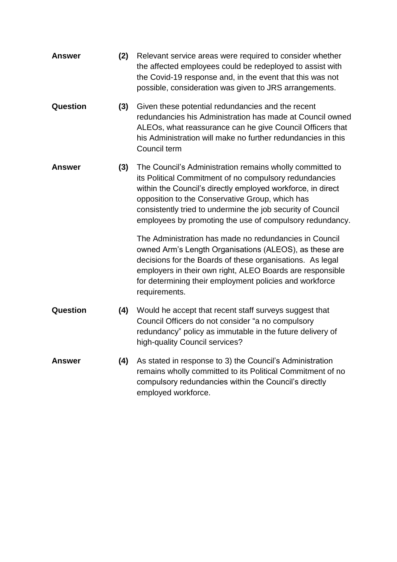| <b>Answer</b> | (2) | Relevant service areas were required to consider whether<br>the affected employees could be redeployed to assist with<br>the Covid-19 response and, in the event that this was not<br>possible, consideration was given to JRS arrangements.                                                                                                                    |
|---------------|-----|-----------------------------------------------------------------------------------------------------------------------------------------------------------------------------------------------------------------------------------------------------------------------------------------------------------------------------------------------------------------|
| Question      | (3) | Given these potential redundancies and the recent<br>redundancies his Administration has made at Council owned<br>ALEOs, what reassurance can he give Council Officers that<br>his Administration will make no further redundancies in this<br>Council term                                                                                                     |
| <b>Answer</b> | (3) | The Council's Administration remains wholly committed to<br>its Political Commitment of no compulsory redundancies<br>within the Council's directly employed workforce, in direct<br>opposition to the Conservative Group, which has<br>consistently tried to undermine the job security of Council<br>employees by promoting the use of compulsory redundancy. |
|               |     | The Administration has made no redundancies in Council<br>owned Arm's Length Organisations (ALEOS), as these are<br>decisions for the Boards of these organisations. As legal<br>employers in their own right, ALEO Boards are responsible<br>for determining their employment policies and workforce<br>requirements.                                          |
| Question      | (4) | Would he accept that recent staff surveys suggest that<br>Council Officers do not consider "a no compulsory<br>redundancy" policy as immutable in the future delivery of<br>high-quality Council services?                                                                                                                                                      |
| Answer        | (4) | As stated in response to 3) the Council's Administration<br>remains wholly committed to its Political Commitment of no<br>compulsory redundancies within the Council's directly<br>employed workforce.                                                                                                                                                          |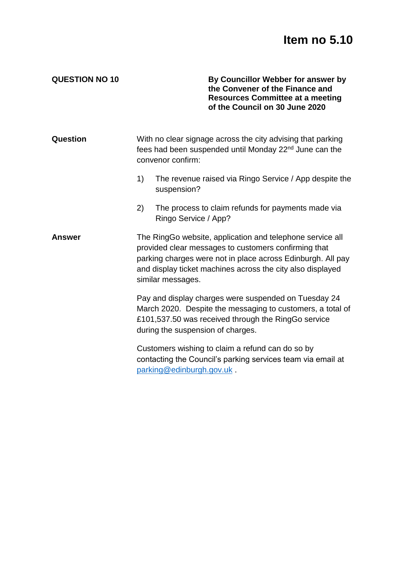**QUESTION NO 10 By Councillor Webber for answer by the Convener of the Finance and Resources Committee at a meeting of the Council on 30 June 2020**

- **Question** With no clear signage across the city advising that parking fees had been suspended until Monday 22nd June can the convenor confirm:
	- 1) The revenue raised via Ringo Service / App despite the suspension?
	- 2) The process to claim refunds for payments made via Ringo Service / App?
- **Answer** The RingGo website, application and telephone service all provided clear messages to customers confirming that parking charges were not in place across Edinburgh. All pay and display ticket machines across the city also displayed similar messages.

Pay and display charges were suspended on Tuesday 24 March 2020. Despite the messaging to customers, a total of £101,537.50 was received through the RingGo service during the suspension of charges.

Customers wishing to claim a refund can do so by contacting the Council's parking services team via email at [parking@edinburgh.gov.uk](mailto:parking@edinburgh.gov.uk) .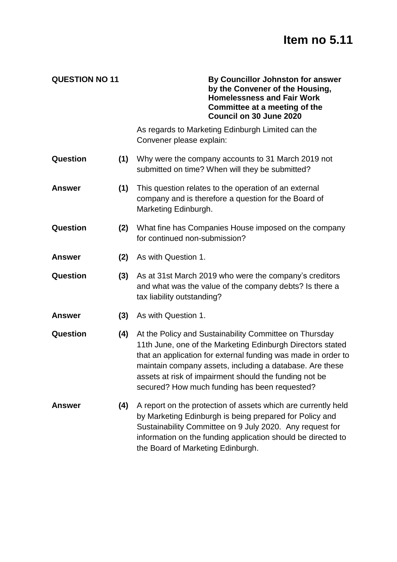| <b>QUESTION NO 11</b> |     | By Councillor Johnston for answer<br>by the Convener of the Housing,<br><b>Homelessness and Fair Work</b><br>Committee at a meeting of the<br>Council on 30 June 2020                                                                                                                                                                                        |
|-----------------------|-----|--------------------------------------------------------------------------------------------------------------------------------------------------------------------------------------------------------------------------------------------------------------------------------------------------------------------------------------------------------------|
|                       |     | As regards to Marketing Edinburgh Limited can the<br>Convener please explain:                                                                                                                                                                                                                                                                                |
| Question              | (1) | Why were the company accounts to 31 March 2019 not<br>submitted on time? When will they be submitted?                                                                                                                                                                                                                                                        |
| <b>Answer</b>         | (1) | This question relates to the operation of an external<br>company and is therefore a question for the Board of<br>Marketing Edinburgh.                                                                                                                                                                                                                        |
| Question              | (2) | What fine has Companies House imposed on the company<br>for continued non-submission?                                                                                                                                                                                                                                                                        |
| <b>Answer</b>         | (2) | As with Question 1.                                                                                                                                                                                                                                                                                                                                          |
| <b>Question</b>       | (3) | As at 31st March 2019 who were the company's creditors<br>and what was the value of the company debts? Is there a<br>tax liability outstanding?                                                                                                                                                                                                              |
| <b>Answer</b>         | (3) | As with Question 1.                                                                                                                                                                                                                                                                                                                                          |
| Question              | (4) | At the Policy and Sustainability Committee on Thursday<br>11th June, one of the Marketing Edinburgh Directors stated<br>that an application for external funding was made in order to<br>maintain company assets, including a database. Are these<br>assets at risk of impairment should the funding not be<br>secured? How much funding has been requested? |
| <b>Answer</b>         | (4) | A report on the protection of assets which are currently held<br>by Marketing Edinburgh is being prepared for Policy and<br>Sustainability Committee on 9 July 2020. Any request for<br>information on the funding application should be directed to<br>the Board of Marketing Edinburgh.                                                                    |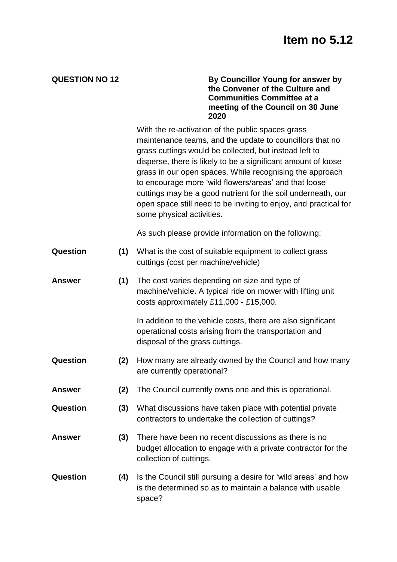# **QUESTION NO 12 By Councillor Young for answer by the Convener of the Culture and Communities Committee at a meeting of the Council on 30 June 2020**

With the re-activation of the public spaces grass maintenance teams, and the update to councillors that no grass cuttings would be collected, but instead left to disperse, there is likely to be a significant amount of loose grass in our open spaces. While recognising the approach to encourage more 'wild flowers/areas' and that loose cuttings may be a good nutrient for the soil underneath, our open space still need to be inviting to enjoy, and practical for some physical activities.

As such please provide information on the following:

| <b>Question</b> | (1) | What is the cost of suitable equipment to collect grass<br>cuttings (cost per machine/vehicle)                                                           |
|-----------------|-----|----------------------------------------------------------------------------------------------------------------------------------------------------------|
| <b>Answer</b>   | (1) | The cost varies depending on size and type of<br>machine/vehicle. A typical ride on mower with lifting unit<br>costs approximately £11,000 - £15,000.    |
|                 |     | In addition to the vehicle costs, there are also significant<br>operational costs arising from the transportation and<br>disposal of the grass cuttings. |
| Question        | (2) | How many are already owned by the Council and how many<br>are currently operational?                                                                     |
| <b>Answer</b>   | (2) | The Council currently owns one and this is operational.                                                                                                  |
| <b>Question</b> | (3) | What discussions have taken place with potential private<br>contractors to undertake the collection of cuttings?                                         |
| <b>Answer</b>   | (3) | There have been no recent discussions as there is no<br>budget allocation to engage with a private contractor for the<br>collection of cuttings.         |
| Question        | (4) | Is the Council still pursuing a desire for 'wild areas' and how<br>is the determined so as to maintain a balance with usable<br>space?                   |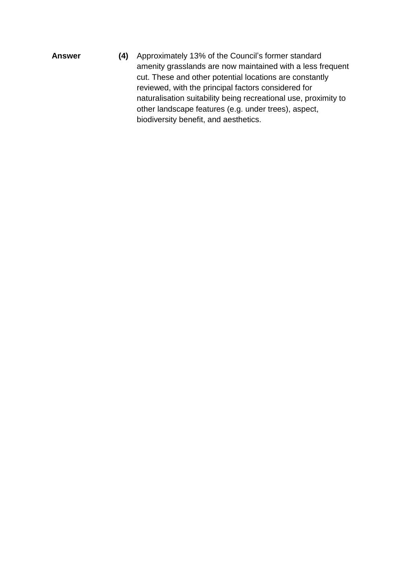**Answer (4)** Approximately 13% of the Council's former standard amenity grasslands are now maintained with a less frequent cut. These and other potential locations are constantly reviewed, with the principal factors considered for naturalisation suitability being recreational use, proximity to other landscape features (e.g. under trees), aspect, biodiversity benefit, and aesthetics.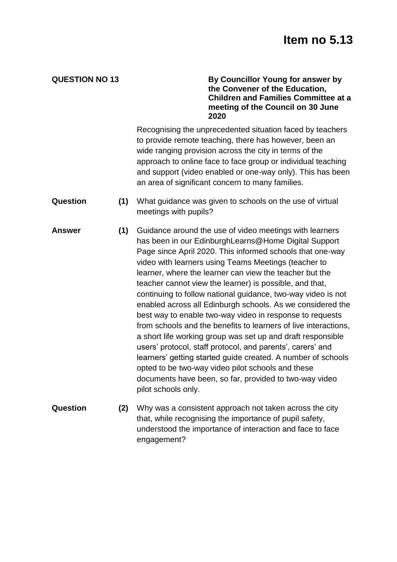# **QUESTION NO 13 By Councillor Young for answer by the Convener of the Education, Children and Families Committee at a meeting of the Council on 30 June 2020**

Recognising the unprecedented situation faced by teachers to provide remote teaching, there has however, been an wide ranging provision across the city in terms of the approach to online face to face group or individual teaching and support (video enabled or one-way only). This has been an area of significant concern to many families.

- **Question (1)** What guidance was given to schools on the use of virtual meetings with pupils?
- **Answer (1)** Guidance around the use of video meetings with learners has been in our EdinburghLearns@Home Digital Support Page since April 2020. This informed schools that one-way video with learners using Teams Meetings (teacher to learner, where the learner can view the teacher but the teacher cannot view the learner) is possible, and that, continuing to follow national guidance, two-way video is not enabled across all Edinburgh schools. As we considered the best way to enable two-way video in response to requests from schools and the benefits to learners of live interactions, a short life working group was set up and draft responsible users' protocol, staff protocol, and parents', carers' and learners' getting started guide created. A number of schools opted to be two-way video pilot schools and these documents have been, so far, provided to two-way video pilot schools only.
- **Question (2)** Why was a consistent approach not taken across the city that, while recognising the importance of pupil safety, understood the importance of interaction and face to face engagement?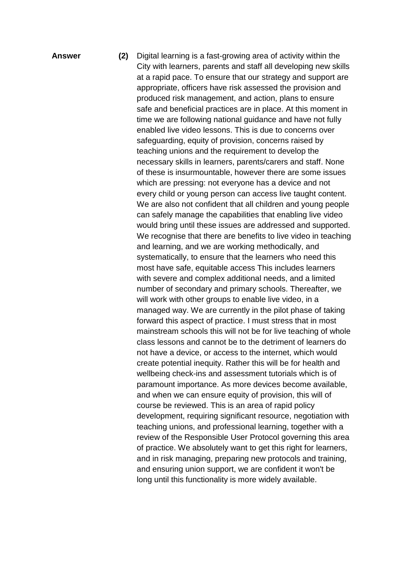**Answer (2)** Digital learning is a fast-growing area of activity within the City with learners, parents and staff all developing new skills at a rapid pace. To ensure that our strategy and support are appropriate, officers have risk assessed the provision and produced risk management, and action, plans to ensure safe and beneficial practices are in place. At this moment in time we are following national guidance and have not fully enabled live video lessons. This is due to concerns over safeguarding, equity of provision, concerns raised by teaching unions and the requirement to develop the necessary skills in learners, parents/carers and staff. None of these is insurmountable, however there are some issues which are pressing: not everyone has a device and not every child or young person can access live taught content. We are also not confident that all children and young people can safely manage the capabilities that enabling live video would bring until these issues are addressed and supported. We recognise that there are benefits to live video in teaching and learning, and we are working methodically, and systematically, to ensure that the learners who need this most have safe, equitable access This includes learners with severe and complex additional needs, and a limited number of secondary and primary schools. Thereafter, we will work with other groups to enable live video, in a managed way. We are currently in the pilot phase of taking forward this aspect of practice. I must stress that in most mainstream schools this will not be for live teaching of whole class lessons and cannot be to the detriment of learners do not have a device, or access to the internet, which would create potential inequity. Rather this will be for health and wellbeing check-ins and assessment tutorials which is of paramount importance. As more devices become available, and when we can ensure equity of provision, this will of course be reviewed. This is an area of rapid policy development, requiring significant resource, negotiation with teaching unions, and professional learning, together with a review of the Responsible User Protocol governing this area of practice. We absolutely want to get this right for learners, and in risk managing, preparing new protocols and training, and ensuring union support, we are confident it won't be long until this functionality is more widely available.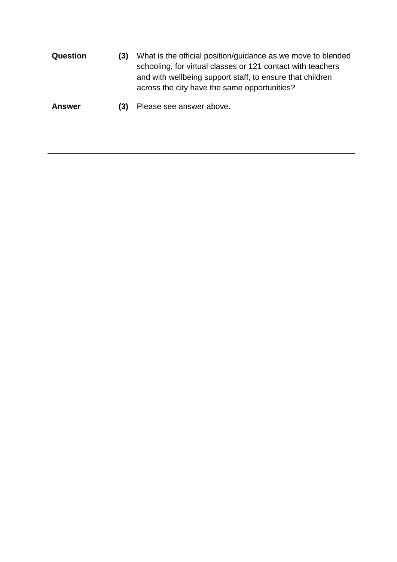| <b>Question</b> | (3) | What is the official position/guidance as we move to blended |
|-----------------|-----|--------------------------------------------------------------|
|                 |     | schooling, for virtual classes or 121 contact with teachers  |
|                 |     | and with wellbeing support staff, to ensure that children    |
|                 |     | across the city have the same opportunities?                 |
|                 |     |                                                              |

**Answer (3)** Please see answer above.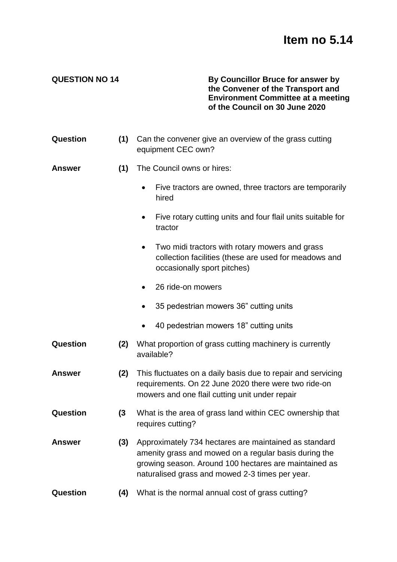**QUESTION NO 14 By Councillor Bruce for answer by the Convener of the Transport and Environment Committee at a meeting of the Council on 30 June 2020**

| <b>Question</b> | (1) Can the convener give an overview of the grass cutting |
|-----------------|------------------------------------------------------------|
|                 | equipment CEC own?                                         |

- **Answer (1)** The Council owns or hires:
	- Five tractors are owned, three tractors are temporarily hired
	- Five rotary cutting units and four flail units suitable for tractor
	- Two midi tractors with rotary mowers and grass collection facilities (these are used for meadows and occasionally sport pitches)
	- 26 ride-on mowers
	- 35 pedestrian mowers 36" cutting units
	- 40 pedestrian mowers 18" cutting units
- **Question (2)** What proportion of grass cutting machinery is currently available?
- **Answer (2)** This fluctuates on a daily basis due to repair and servicing requirements. On 22 June 2020 there were two ride-on mowers and one flail cutting unit under repair
- **Question (3** What is the area of grass land within CEC ownership that requires cutting?
- **Answer (3)** Approximately 734 hectares are maintained as standard amenity grass and mowed on a regular basis during the growing season. Around 100 hectares are maintained as naturalised grass and mowed 2-3 times per year.
- **Question (4)** What is the normal annual cost of grass cutting?